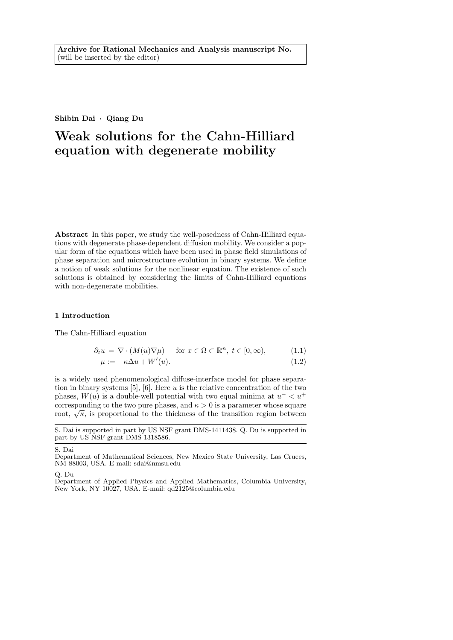Shibin Dai · Qiang Du

# Weak solutions for the Cahn-Hilliard equation with degenerate mobility

Abstract In this paper, we study the well-posedness of Cahn-Hilliard equations with degenerate phase-dependent diffusion mobility. We consider a popular form of the equations which have been used in phase field simulations of phase separation and microstructure evolution in binary systems. We define a notion of weak solutions for the nonlinear equation. The existence of such solutions is obtained by considering the limits of Cahn-Hilliard equations with non-degenerate mobilities.

## 1 Introduction

The Cahn-Hilliard equation

$$
\partial_t u = \nabla \cdot (M(u)\nabla \mu) \quad \text{ for } x \in \Omega \subset \mathbb{R}^n, \ t \in [0, \infty), \tag{1.1}
$$

$$
\mu := -\kappa \Delta u + W'(u). \tag{1.2}
$$

is a widely used phenomenological diffuse-interface model for phase separation in binary systems [5], [6]. Here u is the relative concentration of the two phases,  $W(u)$  is a double-well potential with two equal minima at  $u^{-} < u^{+}$ corresponding to the two pure phases, and  $\kappa > 0$  is a parameter whose square corresponding to the two pure phases, and  $\kappa > 0$  is a parameter whose square root,  $\sqrt{\kappa}$ , is proportional to the thickness of the transition region between

S. Dai

Q. Du

S. Dai is supported in part by US NSF grant DMS-1411438. Q. Du is supported in part by US<sup>NSF</sup> grant DMS-1318586.

Department of Mathematical Sciences, New Mexico State University, Las Cruces, NM 88003, USA. E-mail: sdai@nmsu.edu

Department of Applied Physics and Applied Mathematics, Columbia University, New York, NY 10027, USA. E-mail: qd2125@columbia.edu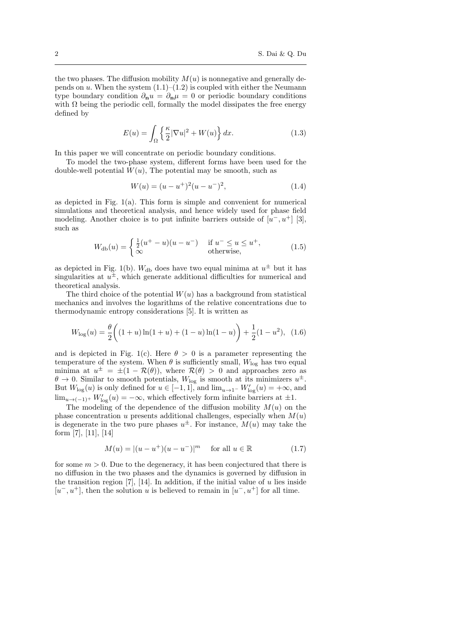the two phases. The diffusion mobility  $M(u)$  is nonnegative and generally depends on u. When the system  $(1.1)$ – $(1.2)$  is coupled with either the Neumann type boundary condition  $\partial_{\bf n}u = \partial_{\bf n}\mu = 0$  or periodic boundary conditions with  $\Omega$  being the periodic cell, formally the model dissipates the free energy defined by

$$
E(u) = \int_{\Omega} \left\{ \frac{\kappa}{2} |\nabla u|^2 + W(u) \right\} dx.
$$
 (1.3)

In this paper we will concentrate on periodic boundary conditions.

To model the two-phase system, different forms have been used for the double-well potential  $W(u)$ , The potential may be smooth, such as

$$
W(u) = (u - u^{+})^{2}(u - u^{-})^{2}, \qquad (1.4)
$$

as depicted in Fig. 1(a). This form is simple and convenient for numerical simulations and theoretical analysis, and hence widely used for phase field modeling. Another choice is to put infinite barriers outside of  $[u^-, u^+]$  [3], such as

$$
W_{\rm db}(u) = \begin{cases} \frac{1}{2}(u^+ - u)(u - u^-) & \text{if } u^- \le u \le u^+, \\ \infty & \text{otherwise,} \end{cases}
$$
(1.5)

as depicted in Fig. 1(b).  $W_{\text{db}}$  does have two equal minima at  $u^{\pm}$  but it has singularities at  $u^{\pm}$ , which generate additional difficulties for numerical and theoretical analysis.

The third choice of the potential  $W(u)$  has a background from statistical mechanics and involves the logarithms of the relative concentrations due to thermodynamic entropy considerations [5]. It is written as

$$
W_{\text{log}}(u) = \frac{\theta}{2} \left( (1+u)\ln(1+u) + (1-u)\ln(1-u) \right) + \frac{1}{2}(1-u^2), \tag{1.6}
$$

and is depicted in Fig. 1(c). Here  $\theta > 0$  is a parameter representing the temperature of the system. When  $\theta$  is sufficiently small,  $W_{\text{log}}$  has two equal minima at  $u^{\pm} = \pm (1 - \mathcal{R}(\theta))$ , where  $\mathcal{R}(\theta) > 0$  and approaches zero as  $\theta \to 0$ . Similar to smooth potentials,  $W_{\text{log}}$  is smooth at its minimizers  $u^{\pm}$ . But  $W_{\log}(u)$  is only defined for  $u \in [-1,1]$ , and  $\lim_{u \to 1^-} W'_{\log}(u) = +\infty$ , and  $\lim_{u \to (-1)^+} W'_{\log}(u) = -\infty$ , which effectively form infinite barriers at  $\pm 1$ .

The modeling of the dependence of the diffusion mobility  $M(u)$  on the phase concentration u presents additional challenges, especially when  $M(u)$ is degenerate in the two pure phases  $u^{\pm}$ . For instance,  $M(u)$  may take the form [7], [11], [14]

$$
M(u) = |(u - u^{+})(u - u^{-})|^{m}
$$
 for all  $u \in \mathbb{R}$  (1.7)

for some  $m > 0$ . Due to the degeneracy, it has been conjectured that there is no diffusion in the two phases and the dynamics is governed by diffusion in the transition region  $[7]$ ,  $[14]$ . In addition, if the initial value of u lies inside  $[u^-, u^+]$ , then the solution u is believed to remain in  $[u^-, u^+]$  for all time.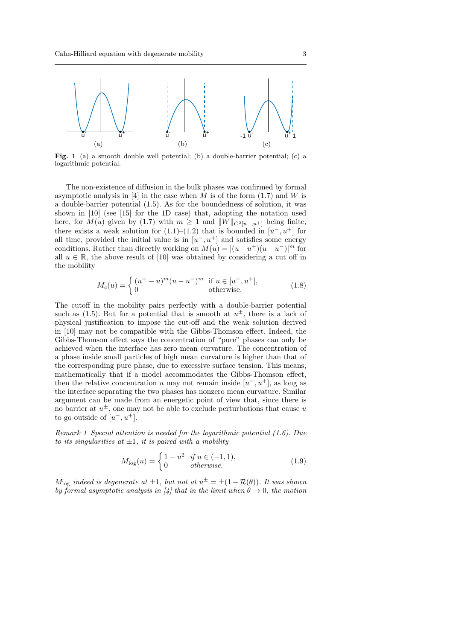

Fig. 1 (a) a smooth double well potential; (b) a double-barrier potential; (c) a logarithmic potential.

The non-existence of diffusion in the bulk phases was confirmed by formal asymptotic analysis in [4] in the case when  $M$  is of the form (1.7) and  $W$  is a double-barrier potential (1.5). As for the boundedness of solution, it was shown in [10] (see [15] for the 1D case) that, adopting the notation used here, for  $M(u)$  given by (1.7) with  $m \geq 1$  and  $||W||_{C^{2}[u^-,u^+]}$  being finite, there exists a weak solution for  $(1.1)$ – $(1.2)$  that is bounded in  $[u^-, u^+]$  for all time, provided the initial value is in  $[u^-, u^+]$  and satisfies some energy conditions. Rather than directly working on  $M(u) = |(u - u^{+})(u - u^{-})|^{m}$  for all  $u \in \mathbb{R}$ , the above result of [10] was obtained by considering a cut off in the mobility

$$
M_c(u) = \begin{cases} (u^+ - u)^m (u - u^-)^m & \text{if } u \in [u^-, u^+],\\ 0 & \text{otherwise.} \end{cases}
$$
 (1.8)

The cutoff in the mobility pairs perfectly with a double-barrier potential such as  $(1.5)$ . But for a potential that is smooth at  $u^{\pm}$ , there is a lack of physical justification to impose the cut-off and the weak solution derived in [10] may not be compatible with the Gibbs-Thomson effect. Indeed, the Gibbs-Thomson effect says the concentration of "pure" phases can only be achieved when the interface has zero mean curvature. The concentration of a phase inside small particles of high mean curvature is higher than that of the corresponding pure phase, due to excessive surface tension. This means, mathematically that if a model accommodates the Gibbs-Thomson effect, then the relative concentration u may not remain inside  $[u^-, u^+]$ , as long as the interface separating the two phases has nonzero mean curvature. Similar argument can be made from an energetic point of view that, since there is no barrier at  $u^{\pm}$ , one may not be able to exclude perturbations that cause u to go outside of  $[u^-, u^+]$ .

Remark 1 Special attention is needed for the logarithmic potential (1.6). Due to its singularities at  $\pm 1$ , it is paired with a mobility

$$
M_{\text{log}}(u) = \begin{cases} 1 - u^2 & \text{if } u \in (-1, 1), \\ 0 & \text{otherwise.} \end{cases}
$$
 (1.9)

 $M_{\text{log}}$  indeed is degenerate at  $\pm 1$ , but not at  $u^{\pm} = \pm (1 - \mathcal{R}(\theta))$ . It was shown by formal asymptotic analysis in [4] that in the limit when  $\theta \to 0$ , the motion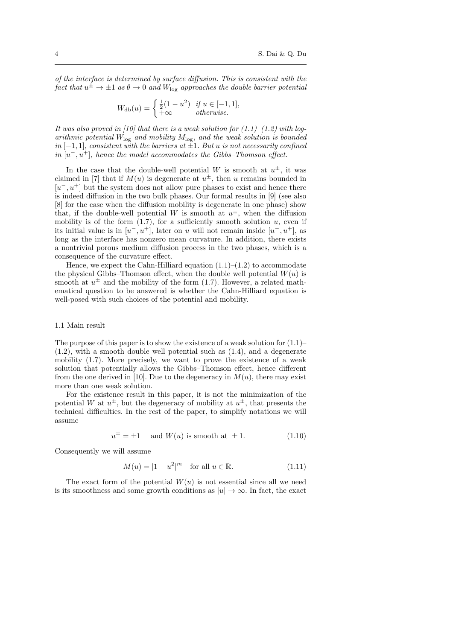of the interface is determined by surface diffusion. This is consistent with the fact that  $u^{\pm} \rightarrow \pm 1$  as  $\theta \rightarrow 0$  and  $W_{\text{log}}$  approaches the double barrier potential

$$
W_{\mathrm{db}}(u) = \begin{cases} \frac{1}{2}(1 - u^2) & \text{if } u \in [-1, 1], \\ +\infty & \text{otherwise.} \end{cases}
$$

It was also proved in [10] that there is a weak solution for  $(1.1)$ – $(1.2)$  with logarithmic potential  $W_{\text{log}}$  and mobility  $M_{\text{log}}$ , and the weak solution is bounded  $in [-1, 1]$ , consistent with the barriers at  $\pm 1$ . But u is not necessarily confined in  $[u^-, u^+]$ , hence the model accommodates the Gibbs–Thomson effect.

In the case that the double-well potential W is smooth at  $u^{\pm}$ , it was claimed in [7] that if  $M(u)$  is degenerate at  $u^{\pm}$ , then u remains bounded in  $[u^-, u^+]$  but the system does not allow pure phases to exist and hence there is indeed diffusion in the two bulk phases. Our formal results in [9] (see also [8] for the case when the diffusion mobility is degenerate in one phase) show that, if the double-well potential W is smooth at  $u^{\pm}$ , when the diffusion mobility is of the form  $(1.7)$ , for a sufficiently smooth solution  $u$ , even if its initial value is in  $[u^-, u^+]$ , later on u will not remain inside  $[u^-, u^+]$ , as long as the interface has nonzero mean curvature. In addition, there exists a nontrivial porous medium diffusion process in the two phases, which is a consequence of the curvature effect.

Hence, we expect the Cahn-Hilliard equation  $(1.1)$ – $(1.2)$  to accommodate the physical Gibbs–Thomson effect, when the double well potential  $W(u)$  is smooth at  $u^{\pm}$  and the mobility of the form (1.7). However, a related mathematical question to be answered is whether the Cahn-Hilliard equation is well-posed with such choices of the potential and mobility.

#### 1.1 Main result

The purpose of this paper is to show the existence of a weak solution for  $(1.1)$ –  $(1.2)$ , with a smooth double well potential such as  $(1.4)$ , and a degenerate mobility (1.7). More precisely, we want to prove the existence of a weak solution that potentially allows the Gibbs–Thomson effect, hence different from the one derived in [10]. Due to the degeneracy in  $M(u)$ , there may exist more than one weak solution.

For the existence result in this paper, it is not the minimization of the potential W at  $u^{\pm}$ , but the degeneracy of mobility at  $u^{\pm}$ , that presents the technical difficulties. In the rest of the paper, to simplify notations we will assume

$$
u^{\pm} = \pm 1 \quad \text{and } W(u) \text{ is smooth at } \pm 1. \tag{1.10}
$$

Consequently we will assume

$$
M(u) = |1 - u^2|^m \quad \text{for all } u \in \mathbb{R}.\tag{1.11}
$$

The exact form of the potential  $W(u)$  is not essential since all we need is its smoothness and some growth conditions as  $|u| \to \infty$ . In fact, the exact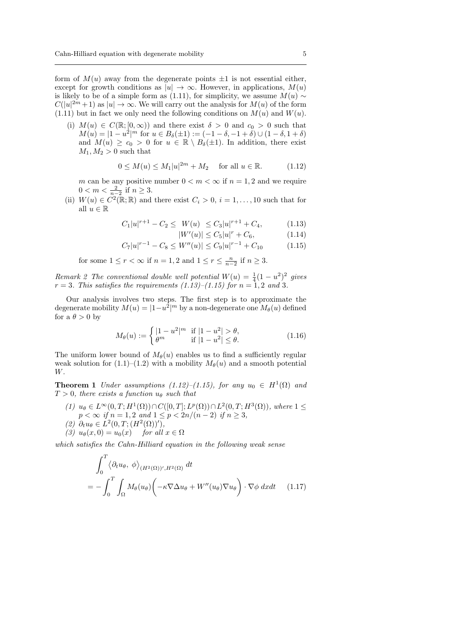form of  $M(u)$  away from the degenerate points  $\pm 1$  is not essential either, except for growth conditions as  $|u| \to \infty$ . However, in applications,  $M(u)$ is likely to be of a simple form as (1.11), for simplicity, we assume  $M(u) \sim$  $C(|u|^{2m}+1)$  as  $|u| \to \infty$ . We will carry out the analysis for  $M(u)$  of the form  $(1.11)$  but in fact we only need the following conditions on  $M(u)$  and  $W(u)$ .

(i)  $M(u) \in C(\mathbb{R}; [0, \infty))$  and there exist  $\delta > 0$  and  $c_0 > 0$  such that  $M(u) = |1 - u^2|^m$  for  $u \in B_\delta(\pm 1) := (-1 - \delta, -1 + \delta) \cup (1 - \delta, 1 + \delta)$ and  $M(u) \geq c_0 > 0$  for  $u \in \mathbb{R} \setminus B_\delta(\pm 1)$ . In addition, there exist  $M_1, M_2 > 0$  such that

$$
0 \le M(u) \le M_1|u|^{2m} + M_2 \quad \text{for all } u \in \mathbb{R}.\tag{1.12}
$$

m can be any positive number  $0 < m < \infty$  if  $n = 1, 2$  and we require  $0 < m < \frac{2}{n-2}$  if  $n \geq 3$ .

(ii)  $W(u) \in C^2(\mathbb{R}; \mathbb{R})$  and there exist  $C_i > 0$ ,  $i = 1, ..., 10$  such that for all  $u \in \mathbb{R}$ 

$$
C_1|u|^{r+1} - C_2 \le W(u) \le C_3|u|^{r+1} + C_4, \tag{1.13}
$$

 $|W'(u)| \leq C_5|u|^r + C_6,$  (1.14)

$$
C_7|u|^{r-1} - C_8 \le W''(u) \le C_9|u|^{r-1} + C_{10} \tag{1.15}
$$

for some  $1 \le r < \infty$  if  $n = 1, 2$  and  $1 \le r \le \frac{n}{n-2}$  if  $n \ge 3$ .

Remark 2 The conventional double well potential  $W(u) = \frac{1}{4}(1 - u^2)^2$  gives  $r = 3$ . This satisfies the requirements  $(1.13)$ – $(1.15)$  for  $n = 1, 2$  and 3.

Our analysis involves two steps. The first step is to approximate the degenerate mobility  $M(u) = |1-u^2|^m$  by a non-degenerate one  $M_\theta(u)$  defined for a  $\theta > 0$  by

$$
M_{\theta}(u) := \begin{cases} |1 - u^2|^m & \text{if } |1 - u^2| > \theta, \\ \theta^m & \text{if } |1 - u^2| \le \theta. \end{cases}
$$
 (1.16)

The uniform lower bound of  $M_{\theta}(u)$  enables us to find a sufficiently regular weak solution for  $(1.1)$ – $(1.2)$  with a mobility  $M_{\theta}(u)$  and a smooth potential W.

**Theorem 1** Under assumptions (1.12)–(1.15), for any  $u_0 \in H^1(\Omega)$  and  $T > 0$ , there exists a function  $u_{\theta}$  such that

- (1)  $u_{\theta} \in L^{\infty}(0,T; H^{1}(\Omega)) \cap C([0,T]; L^{p}(\Omega)) \cap L^{2}(0,T; H^{3}(\Omega)),$  where  $1 \leq$  $p < \infty$  if  $n = 1, 2$  and  $1 \le p < 2n/(n-2)$  if  $n \ge 3$ ,
- (2)  $\partial_t u_\theta \in L^2(0,T;(H^2(\Omega))')$ ,
- (3)  $u_{\theta}(x, 0) = u_0(x)$  for all  $x \in \Omega$

which satisfies the Cahn-Hilliard equation in the following weak sense

$$
\int_0^T \langle \partial_t u_\theta, \phi \rangle_{(H^2(\Omega))', H^2(\Omega)} dt
$$
\n
$$
= - \int_0^T \int_\Omega M_\theta(u_\theta) \left( -\kappa \nabla \Delta u_\theta + W''(u_\theta) \nabla u_\theta \right) \cdot \nabla \phi \, dx dt \qquad (1.17)
$$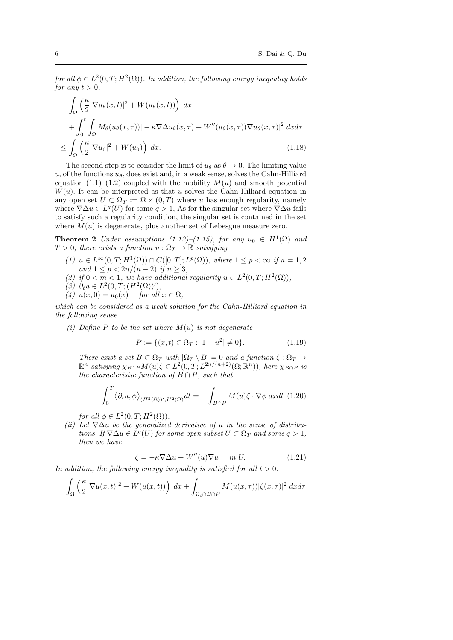for all  $\phi \in L^2(0,T;H^2(\Omega))$ . In addition, the following energy inequality holds for any  $t > 0$ .

$$
\int_{\Omega} \left( \frac{\kappa}{2} |\nabla u_{\theta}(x, t)|^2 + W(u_{\theta}(x, t)) \right) dx \n+ \int_{0}^{t} \int_{\Omega} M_{\theta}(u_{\theta}(x, \tau)) |-\kappa \nabla \Delta u_{\theta}(x, \tau) + W''(u_{\theta}(x, \tau)) \nabla u_{\theta}(x, \tau)|^2 dx d\tau \n\leq \int_{\Omega} \left( \frac{\kappa}{2} |\nabla u_0|^2 + W(u_0) \right) dx.
$$
\n(1.18)

The second step is to consider the limit of  $u_{\theta}$  as  $\theta \rightarrow 0$ . The limiting value u, of the functions  $u_{\theta}$ , does exist and, in a weak sense, solves the Cahn-Hilliard equation  $(1.1)$ – $(1.2)$  coupled with the mobility  $M(u)$  and smooth potential  $W(u)$ . It can be interpreted as that u solves the Cahn-Hilliard equation in any open set  $U \subset \Omega_T := \Omega \times (0,T)$  where u has enough regularity, namely where  $\nabla \Delta u \in L^q(U)$  for some  $q > 1$ , As for the singular set where  $\nabla \Delta u$  fails to satisfy such a regularity condition, the singular set is contained in the set where  $M(u)$  is degenerate, plus another set of Lebesgue measure zero.

**Theorem 2** Under assumptions (1.12)–(1.15), for any  $u_0 \in H^1(\Omega)$  and  $T > 0$ , there exists a function  $u : \Omega_T \to \mathbb{R}$  satisfying

- (1)  $u \in L^{\infty}(0,T;H^{1}(\Omega)) \cap C([0,T];L^{p}(\Omega)),$  where  $1 \leq p < \infty$  if  $n = 1,2$ and  $1 \le p < 2n/(n-2)$  if  $n \ge 3$ ,
- (2) if  $0 < m < 1$ , we have additional regularity  $u \in L^2(0,T;H^2(\Omega))$ ,
- (3)  $∂<sub>t</sub>u ∈ L<sup>2</sup>(0,T; (H<sup>2</sup>(Ω))')$ ,
- (4)  $u(x, 0) = u_0(x)$  for all  $x \in \Omega$ ,

which can be considered as a weak solution for the Cahn-Hilliard equation in the following sense.

(i) Define P to be the set where  $M(u)$  is not degenerate

$$
P := \{(x, t) \in \Omega_T : |1 - u^2| \neq 0\}.
$$
\n(1.19)

There exist a set  $B \subset \Omega_T$  with  $|\Omega_T \setminus B| = 0$  and a function  $\zeta : \Omega_T \to$  $\mathbb{R}^n$  satisying  $\chi_{B\cap P}M(u)\zeta \in L^2(0,T;L^{2n/(n+2)}(\Omega;\mathbb{R}^n))$ , here  $\chi_{B\cap P}$  is the characteristic function of  $B \cap P$ , such that

$$
\int_0^T \langle \partial_t u, \phi \rangle_{(H^2(\Omega))', H^2(\Omega)} dt = - \int_{B \cap P} M(u) \zeta \cdot \nabla \phi \, dx dt \tag{1.20}
$$

for all  $\phi \in L^2(0,T;H^2(\Omega))$ .

(ii) Let  $\nabla \Delta u$  be the generalized derivative of u in the sense of distributions. If  $\nabla \Delta u \in L^q(U)$  for some open subset  $U \subset \Omega_T$  and some  $q > 1$ , then we have

$$
\zeta = -\kappa \nabla \Delta u + W''(u)\nabla u \quad \text{in } U. \tag{1.21}
$$

In addition, the following energy inequality is satisfied for all  $t > 0$ .

$$
\int_{\Omega} \left( \frac{\kappa}{2} |\nabla u(x,t)|^2 + W(u(x,t)) \right) dx + \int_{\Omega_t \cap B \cap P} M(u(x,\tau)) |\zeta(x,\tau)|^2 dx d\tau
$$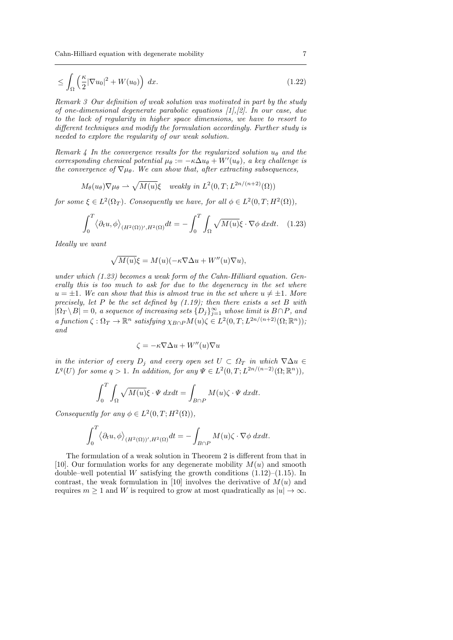$$
\leq \int_{\Omega} \left( \frac{\kappa}{2} |\nabla u_0|^2 + W(u_0) \right) dx. \tag{1.22}
$$

Remark 3 Our definition of weak solution was motivated in part by the study of one-dimensional degenerate parabolic equations [1],[2]. In our case, due to the lack of regularity in higher space dimensions, we have to resort to different techniques and modify the formulation accordingly. Further study is needed to explore the regularity of our weak solution.

Remark 4 In the convergence results for the regularized solution  $u_{\theta}$  and the corresponding chemical potential  $\mu_{\theta} := -\kappa \Delta u_{\theta} + W'(u_{\theta})$ , a key challenge is the convergence of  $\nabla \mu_{\theta}$ . We can show that, after extracting subsequences,

$$
M_{\theta}(u_{\theta})\nabla\mu_{\theta} \rightarrow \sqrt{M(u)}\xi
$$
 weakly in  $L^2(0,T;L^{2n/(n+2)}(\Omega))$ 

for some  $\xi \in L^2(\Omega_T)$ . Consequently we have, for all  $\phi \in L^2(0,T;H^2(\Omega)),$ 

$$
\int_0^T \langle \partial_t u, \phi \rangle_{(H^2(\Omega))', H^2(\Omega)} dt = - \int_0^T \int_{\Omega} \sqrt{M(u)} \xi \cdot \nabla \phi \, dx dt. \quad (1.23)
$$

Ideally we want

$$
\sqrt{M(u)}\xi = M(u)(-\kappa \nabla \Delta u + W''(u)\nabla u),
$$

under which (1.23) becomes a weak form of the Cahn-Hilliard equation. Generally this is too much to ask for due to the degeneracy in the set where  $u = \pm 1$ . We can show that this is almost true in the set where  $u \neq \pm 1$ . More precisely, let P be the set defined by  $(1.19)$ ; then there exists a set B with  $|\Omega_T \setminus B| = 0$ , a sequence of increasing sets  $\{D_j\}_{j=1}^{\infty}$  whose limit is  $B \cap P$ , and a function  $\zeta : \Omega_T \to \mathbb{R}^n$  satisfying  $\chi_{B \cap P} M(u) \zeta \in L^2(0,T; L^{2n/(n+2)}(\Omega; \mathbb{R}^n));$ and

$$
\zeta = -\kappa \nabla \Delta u + W''(u)\nabla u
$$

in the interior of every  $D_i$  and every open set  $U \subset \Omega_T$  in which  $\nabla \Delta u \in$  $L^q(U)$  for some  $q > 1$ . In addition, for any  $\Psi \in L^2(0,T; L^{2n/(n-2)}(\Omega;\mathbb{R}^n)),$ 

$$
\int_0^T \int_{\Omega} \sqrt{M(u)} \xi \cdot \Psi \, dx dt = \int_{B \cap P} M(u) \zeta \cdot \Psi \, dx dt.
$$

Consequently for any  $\phi \in L^2(0,T;H^2(\Omega)),$ 

$$
\int_0^T \langle \partial_t u, \phi \rangle_{(H^2(\Omega))', H^2(\Omega)} dt = - \int_{B \cap P} M(u) \zeta \cdot \nabla \phi \ dx dt.
$$

The formulation of a weak solution in Theorem 2 is different from that in [10]. Our formulation works for any degenerate mobility  $M(u)$  and smooth double–well potential W satisfying the growth conditions  $(1.12)$ – $(1.15)$ . In contrast, the weak formulation in [10] involves the derivative of  $M(u)$  and requires  $m \geq 1$  and W is required to grow at most quadratically as  $|u| \to \infty$ .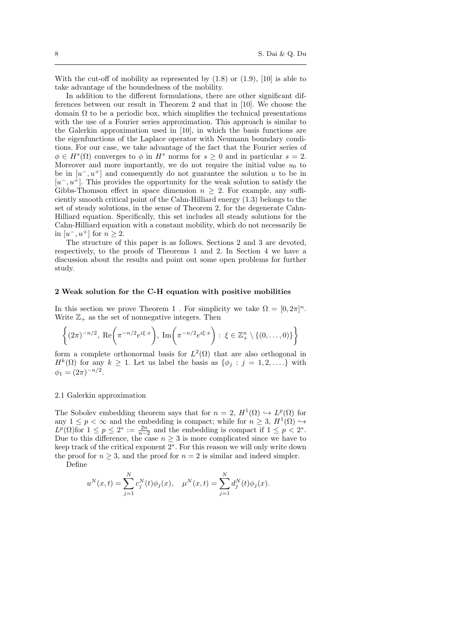With the cut-off of mobility as represented by  $(1.8)$  or  $(1.9)$ ,  $[10]$  is able to take advantage of the boundedness of the mobility.

In addition to the different formulations, there are other significant differences between our result in Theorem 2 and that in [10]. We choose the domain  $\Omega$  to be a periodic box, which simplifies the technical presentations with the use of a Fourier series approximation. This approach is similar to the Galerkin approximation used in [10], in which the basis functions are the eigenfunctions of the Laplace operator with Neumann boundary conditions. For our case, we take advantage of the fact that the Fourier series of  $\phi \in H^s(\Omega)$  converges to  $\phi$  in  $H^s$  norms for  $s \geq 0$  and in particular  $s = 2$ . Moreover and more importantly, we do not require the initial value  $u_0$  to be in  $[u^-, u^+]$  and consequently do not guarantee the solution u to be in  $[u^-, u^+]$ . This provides the opportunity for the weak solution to satisfy the Gibbs-Thomson effect in space dimension  $n \geq 2$ . For example, any sufficiently smooth critical point of the Cahn-Hilliard energy (1.3) belongs to the set of steady solutions, in the sense of Theorem 2, for the degenerate Cahn-Hilliard equation. Specifically, this set includes all steady solutions for the Cahn-Hilliard equation with a constant mobility, which do not necessarily lie in  $[u^-, u^+]$  for  $n \geq 2$ .

The structure of this paper is as follows. Sections 2 and 3 are devoted, respectively, to the proofs of Theorems 1 and 2. In Section 4 we have a discussion about the results and point out some open problems for further study.

#### 2 Weak solution for the C-H equation with positive mobilities

In this section we prove Theorem 1. For simplicity we take  $\Omega = [0, 2\pi]^n$ . Write  $\mathbb{Z}_+$  as the set of nonnegative integers. Then

$$
\left\{ (2\pi)^{-n/2}, \ \text{Re}\bigg(\pi^{-n/2}e^{i\xi \cdot x}\bigg), \ \text{Im}\bigg(\pi^{-n/2}e^{i\xi \cdot x}\bigg) : \ \xi \in \mathbb{Z}_+^n \setminus \{(0, \dots, 0)\}\right\}
$$

form a complete orthonormal basis for  $L^2(\Omega)$  that are also orthogonal in  $H^k(\Omega)$  for any  $k \geq 1$ . Let us label the basis as  $\{\phi_j : j = 1, 2, \ldots\}$  with  $\phi_1 = (2\pi)^{-n/2}.$ 

#### 2.1 Galerkin approximation

The Sobolev embedding theorem says that for  $n = 2$ ,  $H^1(\Omega) \hookrightarrow L^p(\Omega)$  for any  $1 \leq p < \infty$  and the embedding is compact; while for  $n \geq 3$ ,  $H^1(\Omega) \hookrightarrow$  $L^p(\Omega)$  for  $1 \leq p \leq 2^* := \frac{2n}{n-2}$  and the embedding is compact if  $1 \leq p < 2^*$ . Due to this difference, the case  $n \geq 3$  is more complicated since we have to keep track of the critical exponent 2<sup>∗</sup> . For this reason we will only write down the proof for  $n \geq 3$ , and the proof for  $n = 2$  is similar and indeed simpler. Define

$$
u^{N}(x,t) = \sum_{j=1}^{N} c_{j}^{N}(t)\phi_{j}(x), \quad \mu^{N}(x,t) = \sum_{j=1}^{N} d_{j}^{N}(t)\phi_{j}(x).
$$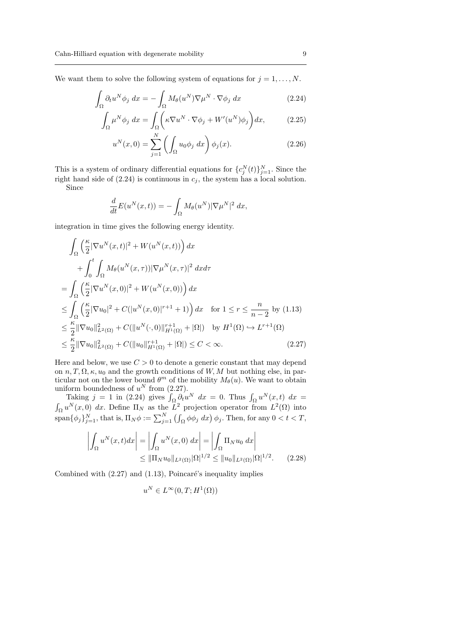We want them to solve the following system of equations for  $j = 1, \ldots, N$ .

$$
\int_{\Omega} \partial_t u^N \phi_j \, dx = - \int_{\Omega} M_\theta(u^N) \nabla \mu^N \cdot \nabla \phi_j \, dx \tag{2.24}
$$

$$
\int_{\Omega} \mu^N \phi_j \, dx = \int_{\Omega} \left( \kappa \nabla u^N \cdot \nabla \phi_j + W'(u^N) \phi_j \right) dx,\tag{2.25}
$$

$$
u^N(x,0) = \sum_{j=1}^N \left( \int_{\Omega} u_0 \phi_j \, dx \right) \phi_j(x). \tag{2.26}
$$

This is a system of ordinary differential equations for  ${c_j^N(t)}_{j=1}^N$ . Since the right hand side of  $(2.24)$  is continuous in  $c_j$ , the system has a local solution.

Since

$$
\frac{d}{dt}E(u^N(x,t)) = -\int_{\Omega} M_{\theta}(u^N)|\nabla \mu^N|^2 dx,
$$

integration in time gives the following energy identity.

$$
\int_{\Omega} \left( \frac{\kappa}{2} |\nabla u^N(x, t)|^2 + W(u^N(x, t)) \right) dx \n+ \int_0^t \int_{\Omega} M_\theta(u^N(x, \tau)) |\nabla \mu^N(x, \tau)|^2 dx d\tau \n= \int_{\Omega} \left( \frac{\kappa}{2} |\nabla u^N(x, 0)|^2 + W(u^N(x, 0)) \right) dx \n\leq \int_{\Omega} \left( \frac{\kappa}{2} |\nabla u_0|^2 + C(|u^N(x, 0)|^{r+1} + 1) \right) dx \quad \text{for } 1 \leq r \leq \frac{n}{n-2} \text{ by (1.13)} \n\leq \frac{\kappa}{2} ||\nabla u_0||_{L^2(\Omega)}^2 + C(||u^N(\cdot, 0)||_{H^1(\Omega)}^{r+1} + |\Omega|) \quad \text{by } H^1(\Omega) \hookrightarrow L^{r+1}(\Omega) \n\leq \frac{\kappa}{2} ||\nabla u_0||_{L^2(\Omega)}^2 + C(||u_0||_{H^1(\Omega)}^{r+1} + |\Omega|) \leq C < \infty.
$$
\n(2.27)

Here and below, we use  $C > 0$  to denote a generic constant that may depend on  $n, T, \Omega, \kappa, u_0$  and the growth conditions of  $W, M$  but nothing else, in particular not on the lower bound  $\theta^m$  of the mobility  $M_\theta(u)$ . We want to obtain uniform boundedness of  $u^N$  from  $(2.27)$ .

Taking  $j = 1$  in (2.24) gives  $\int_{\Omega} \partial_t u^N dx = 0$ . Thus  $\int_{\Omega} u^N(x, t) dx =$  $\int_{\Omega} u^N(x,0) dx$ . Define  $\Pi_N$  as the  $L^2$  projection operator from  $L^2(\Omega)$  into  $\text{span}\{\phi_j\}_{j=1}^N$ , that is,  $\Pi_N \phi := \sum_{j=1}^N \left( \int_{\Omega} \phi \phi_j dx \right) \phi_j$ . Then, for any  $0 < t < T$ ,

$$
\left| \int_{\Omega} u^N(x, t) dx \right| = \left| \int_{\Omega} u^N(x, 0) dx \right| = \left| \int_{\Omega} \Pi_N u_0 dx \right|
$$
  
\n
$$
\leq \| \Pi_N u_0 \|_{L^2(\Omega)} |\Omega|^{1/2} \leq \| u_0 \|_{L^2(\Omega)} |\Omega|^{1/2}. \tag{2.28}
$$

Combined with  $(2.27)$  and  $(1.13)$ , Poincaré's inequality implies

$$
u^N \in L^\infty(0,T;H^1(\Omega))
$$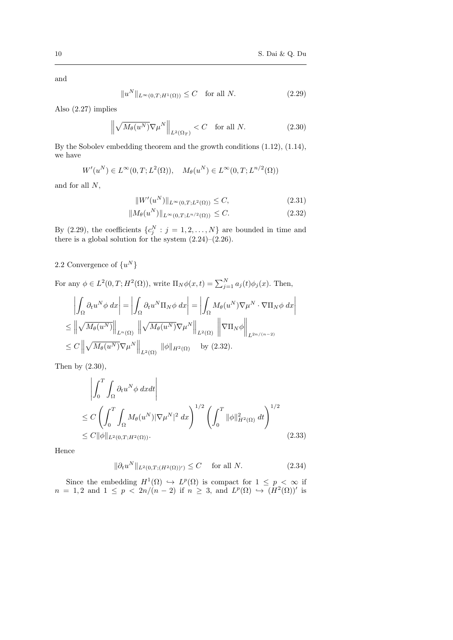and

$$
||u^N||_{L^{\infty}(0,T;H^1(\Omega))} \leq C \quad \text{for all } N. \tag{2.29}
$$

Also (2.27) implies

$$
\left\| \sqrt{M_{\theta}(u^N)} \nabla \mu^N \right\|_{L^2(\Omega_T)} < C \quad \text{for all } N. \tag{2.30}
$$

By the Sobolev embedding theorem and the growth conditions (1.12), (1.14), we have

$$
W'(u^N) \in L^{\infty}(0,T; L^2(\Omega)), \quad M_{\theta}(u^N) \in L^{\infty}(0,T; L^{n/2}(\Omega))
$$

and for all N,

$$
||W'(u^N)||_{L^{\infty}(0,T;L^2(\Omega))} \le C,\t(2.31)
$$

$$
||M_{\theta}(u^N)||_{L^{\infty}(0,T;L^{n/2}(\Omega))} \leq C. \tag{2.32}
$$

By (2.29), the coefficients  ${c_j^N : j = 1, 2, ..., N}$  are bounded in time and there is a global solution for the system  $(2.24)$ – $(2.26)$ .

## 2.2 Convergence of  $\{u^N\}$

For any  $\phi \in L^2(0,T;H^2(\Omega))$ , write  $\Pi_N \phi(x,t) = \sum_{j=1}^N a_j(t) \phi_j(x)$ . Then,

$$
\left| \int_{\Omega} \partial_t u^N \phi \, dx \right| = \left| \int_{\Omega} \partial_t u^N \Pi_N \phi \, dx \right| = \left| \int_{\Omega} M_\theta(u^N) \nabla \mu^N \cdot \nabla \Pi_N \phi \, dx \right|
$$
  
\n
$$
\leq \left\| \sqrt{M_\theta(u^N)} \right\|_{L^n(\Omega)} \left\| \sqrt{M_\theta(u^N)} \nabla \mu^N \right\|_{L^2(\Omega)} \left\| \nabla \Pi_N \phi \right\|_{L^{2n/(n-2)}}
$$
  
\n
$$
\leq C \left\| \sqrt{M_\theta(u^N)} \nabla \mu^N \right\|_{L^2(\Omega)} \|\phi\|_{H^2(\Omega)} \quad \text{by (2.32).}
$$

Then by (2.30),

$$
\left| \int_0^T \int_{\Omega} \partial_t u^N \phi \, dxdt \right|
$$
  
\n
$$
\leq C \left( \int_0^T \int_{\Omega} M_\theta(u^N) |\nabla \mu^N|^2 \, dx \right)^{1/2} \left( \int_0^T ||\phi||^2_{H^2(\Omega)} \, dt \right)^{1/2}
$$
  
\n
$$
\leq C ||\phi||_{L^2(0,T;H^2(\Omega))}.
$$
\n(2.33)

Hence

$$
\|\partial_t u^N\|_{L^2(0,T;(H^2(\Omega))')}\leq C \quad \text{ for all } N. \tag{2.34}
$$

Since the embedding  $H^1(\Omega) \hookrightarrow L^p(\Omega)$  is compact for  $1 \leq p < \infty$  if  $n = 1, 2$  and  $1 \leq p < 2n/(n-2)$  if  $n \geq 3$ , and  $L^p(\Omega) \hookrightarrow (H^2(\Omega))'$  is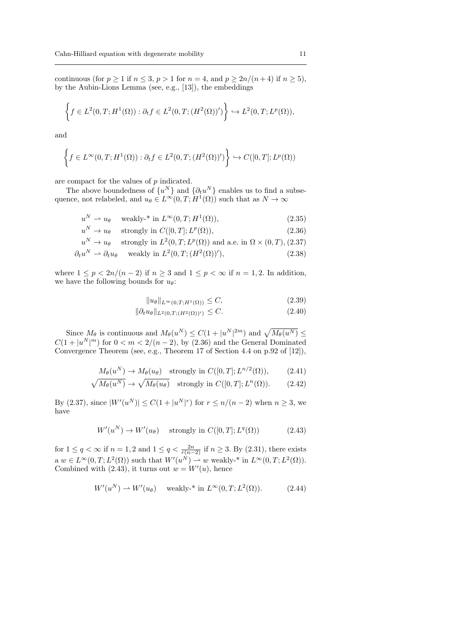continuous (for  $p \ge 1$  if  $n \le 3$ ,  $p > 1$  for  $n = 4$ , and  $p \ge 2n/(n+4)$  if  $n \ge 5$ ), by the Aubin-Lions Lemma (see, e.g., [13]), the embeddings

$$
\left\{ f \in L^2(0,T;H^1(\Omega)) : \partial_t f \in L^2(0,T;(H^2(\Omega))') \right\} \hookrightarrow L^2(0,T;L^p(\Omega)),
$$

and

$$
\left\{ f \in L^{\infty}(0,T;H^1(\Omega)) : \partial_t f \in L^2(0,T;(H^2(\Omega))') \right\} \hookrightarrow C([0,T];L^p(\Omega))
$$

are compact for the values of p indicated.

The above boundedness of  $\{u^N\}$  and  $\{\partial_t u^N\}$  enables us to find a subsequence, not relabeled, and  $u_{\theta} \in L^{\infty}(0,T;H^1(\Omega))$  such that as  $N \to \infty$ 

$$
u^N \rightharpoonup u_\theta \quad \text{ weakly-* in } L^\infty(0, T; H^1(\Omega)),\tag{2.35}
$$

$$
u^N \to u_\theta \quad \text{strongly in } C([0, T]; L^p(\Omega)), \tag{2.36}
$$

$$
u^N \to u_\theta
$$
 strongly in  $L^2(0,T; L^p(\Omega))$  and a.e. in  $\Omega \times (0,T)$ , (2.37)

$$
\partial_t u^N \rightharpoonup \partial_t u_\theta \quad \text{ weakly in } L^2(0, T; (H^2(\Omega))'),\tag{2.38}
$$

where  $1 \leq p < 2n/(n-2)$  if  $n \geq 3$  and  $1 \leq p < \infty$  if  $n = 1, 2$ . In addition, we have the following bounds for  $u_{\theta}$ :

$$
||u_{\theta}||_{L^{\infty}(0,T;H^1(\Omega))} \leq C,
$$
\n(2.39)

$$
\|\partial_t u_\theta\|_{L^2(0,T;(H^2(\Omega))')} \leq C. \tag{2.40}
$$

Since  $M_{\theta}$  is continuous and  $M_{\theta}(u^N) \leq C(1+|u^N|^{2m})$  and  $\sqrt{M_{\theta}(u^N)} \leq$  $C(1+|u^N|^m)$  for  $0 < m < 2/(n-2)$ , by  $(2.36)$  and the General Dominated Convergence Theorem (see, e.g., Theorem 17 of Section 4.4 on p.92 of [12]),

$$
M_{\theta}(u^N) \to M_{\theta}(u_{\theta})
$$
 strongly in  $C([0, T]; L^{n/2}(\Omega)),$  (2.41)

$$
\sqrt{M_{\theta}(u^N)} \to \sqrt{M_{\theta}(u_{\theta})} \quad \text{strongly in } C([0, T]; L^n(\Omega)). \tag{2.42}
$$

By (2.37), since  $|W'(u^N)| \le C(1+|u^N|^r)$  for  $r \le n/(n-2)$  when  $n \ge 3$ , we have

$$
W'(u^N) \to W'(u_\theta) \quad \text{ strongly in } C([0,T]; L^q(\Omega)) \tag{2.43}
$$

for  $1 \le q < \infty$  if  $n = 1, 2$  and  $1 \le q < \frac{2n}{r(n-2)}$  if  $n \ge 3$ . By (2.31), there exists  $a w \in L^{\infty}(0,T; L^{2}(\Omega))$  such that  $W'(u^{N}) \to w$  weakly-\* in  $L^{\infty}(0,T; L^{2}(\Omega)).$ Combined with  $(2.43)$ , it turns out  $w = W'(u)$ , hence

$$
W'(u^N) \rightharpoonup W'(u_\theta) \quad \text{ weakly-* in } L^\infty(0,T; L^2(\Omega)).\tag{2.44}
$$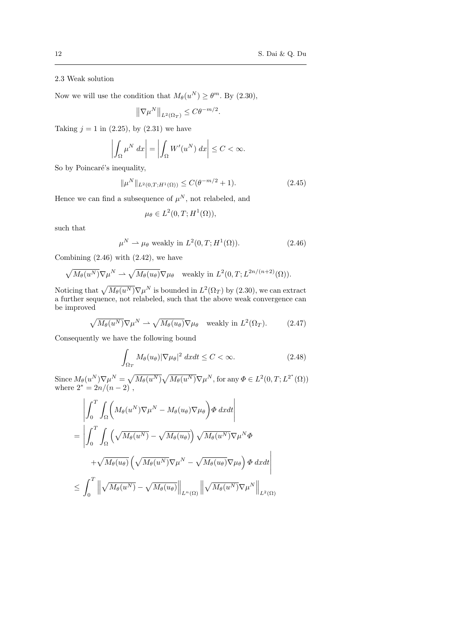# 2.3 Weak solution

Now we will use the condition that  $M_{\theta}(u^N) \geq \theta^m$ . By  $(2.30)$ ,

$$
\left\|\nabla \mu^N\right\|_{L^2(\Omega_T)} \leq C \theta^{-m/2}.
$$

Taking  $j = 1$  in (2.25), by (2.31) we have

$$
\left| \int_{\Omega} \mu^N dx \right| = \left| \int_{\Omega} W'(u^N) dx \right| \le C < \infty.
$$

So by Poincaré's inequality,

$$
\|\mu^N\|_{L^2(0,T;H^1(\Omega))} \le C(\theta^{-m/2} + 1). \tag{2.45}
$$

Hence we can find a subsequence of  $\mu^N$ , not relabeled, and

$$
\mu_{\theta} \in L^2(0,T;H^1(\Omega)),
$$

such that

$$
\mu^N \rightharpoonup \mu_\theta \text{ weakly in } L^2(0, T; H^1(\Omega)).\tag{2.46}
$$

Combining  $(2.46)$  with  $(2.42)$ , we have

$$
\sqrt{M_{\theta}(u^N)}\nabla \mu^N \rightharpoonup \sqrt{M_{\theta}(u_{\theta})}\nabla \mu_{\theta} \quad \text{weakly in } L^2(0,T;L^{2n/(n+2)}(\Omega)).
$$

Noticing that  $\sqrt{M_{\theta}(u^N)}\nabla \mu^N$  is bounded in  $L^2(\Omega_T)$  by (2.30), we can extract a further sequence, not relabeled, such that the above weak convergence can be improved

$$
\sqrt{M_{\theta}(u^N)}\nabla \mu^N \rightharpoonup \sqrt{M_{\theta}(u_{\theta})}\nabla \mu_{\theta} \quad \text{weakly in } L^2(\Omega_T). \tag{2.47}
$$

Consequently we have the following bound

$$
\int_{\Omega_T} M_\theta(u_\theta) |\nabla \mu_\theta|^2 \, dx dt \le C < \infty. \tag{2.48}
$$

Since  $M_{\theta}(u^N)\nabla \mu^N = \sqrt{M_{\theta}(u^N)}\sqrt{M_{\theta}(u^N)}\nabla \mu^N$ , for any  $\Phi \in L^2(0,T; L^{2^*}(\Omega))$ where  $2^* = 2n/(n-2)$ ,

$$
\left| \int_0^T \int_{\Omega} \left( M_{\theta}(u^N) \nabla \mu^N - M_{\theta}(u_{\theta}) \nabla \mu_{\theta} \right) \phi \, dxdt \right|
$$
  
= 
$$
\left| \int_0^T \int_{\Omega} \left( \sqrt{M_{\theta}(u^N)} - \sqrt{M_{\theta}(u_{\theta})} \right) \sqrt{M_{\theta}(u^N)} \nabla \mu^N \Phi + \sqrt{M_{\theta}(u_{\theta})} \left( \sqrt{M_{\theta}(u^N)} \nabla \mu^N - \sqrt{M_{\theta}(u_{\theta})} \nabla \mu_{\theta} \right) \Phi \, dxdt \right|
$$
  

$$
\leq \int_0^T \left\| \sqrt{M_{\theta}(u^N)} - \sqrt{M_{\theta}(u_{\theta})} \right\|_{L^n(\Omega)} \left\| \sqrt{M_{\theta}(u^N)} \nabla \mu^N \right\|_{L^2(\Omega)}
$$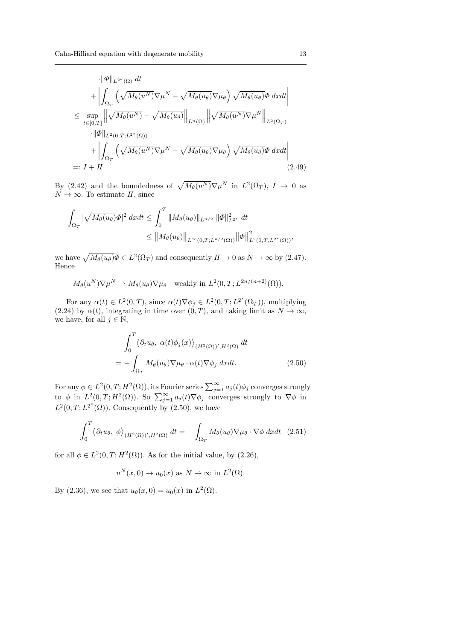$$
\begin{split}\n&\cdot \|\Phi\|_{L^{2^{*}}(\Omega)} dt \\
&+ \left| \int_{\Omega_{T}} \left( \sqrt{M_{\theta}(u^{N})} \nabla \mu^{N} - \sqrt{M_{\theta}(u_{\theta})} \nabla \mu_{\theta} \right) \sqrt{M_{\theta}(u_{\theta})} \Phi \, dxdt \right| \\
&\leq \sup_{t \in [0,T]} \left\| \sqrt{M_{\theta}(u^{N})} - \sqrt{M_{\theta}(u_{\theta})} \right\|_{L^{n}(\Omega)} \left\| \sqrt{M_{\theta}(u^{N})} \nabla \mu^{N} \right\|_{L^{2}(\Omega_{T})} \\
&\cdot \|\Phi\|_{L^{2}(0,T;L^{2^{*}}(\Omega))} \\
&+ \left| \int_{\Omega_{T}} \left( \sqrt{M_{\theta}(u^{N})} \nabla \mu^{N} - \sqrt{M_{\theta}(u_{\theta})} \nabla \mu_{\theta} \right) \sqrt{M_{\theta}(u_{\theta})} \Phi \, dxdt \right| \\
&=: I + II \n\end{split} \tag{2.49}
$$

By (2.42) and the boundedness of  $\sqrt{M_{\theta}(u^N)}\nabla \mu^N$  in  $L^2(\Omega_T)$ ,  $I \to 0$  as  $N \to \infty$ . To estimate II, since

$$
\int_{\Omega_T} |\sqrt{M_{\theta}(u_{\theta})}\Phi|^2 dx dt \le \int_0^T \|M_{\theta}(u_{\theta})\|_{L^{n/2}} \|\Phi\|_{L^{2^*}}^2 dt
$$
  

$$
\le \|M_{\theta}(u_{\theta})\|_{L^{\infty}(0,T;L^{n/2}(\Omega))} \|\Phi\|_{L^{2}(0,T;L^{2^*}(\Omega))}^2,
$$

we have  $\sqrt{M_{\theta}(u_{\theta})}\Phi \in L^2(\Omega_T)$  and consequently  $I\!I \to 0$  as  $N \to \infty$  by (2.47). Hence

$$
M_{\theta}(u^N)\nabla \mu^N \rightharpoonup M_{\theta}(u_{\theta})\nabla \mu_{\theta}
$$
 weakly in  $L^2(0,T; L^{2n/(n+2)}(\Omega)).$ 

For any  $\alpha(t) \in L^2(0,T)$ , since  $\alpha(t) \nabla \phi_j \in L^2(0,T; L^{2^*}(\Omega_T))$ , multiplying (2.24) by  $\alpha(t)$ , integrating in time over  $(0, T)$ , and taking limit as  $N \to \infty$ , we have, for all  $j \in \mathbb{N}$ ,

$$
\int_0^T \langle \partial_t u_\theta, \alpha(t) \phi_j(x) \rangle_{(H^2(\Omega))', H^2(\Omega)} dt
$$
  
= 
$$
- \int_{\Omega_T} M_\theta(u_\theta) \nabla \mu_\theta \cdot \alpha(t) \nabla \phi_j dx dt.
$$
 (2.50)

For any  $\phi \in L^2(0,T;H^2(\Omega))$ , its Fourier series  $\sum_{j=1}^{\infty} a_j(t)\phi_j$  converges strongly to  $\phi$  in  $L^2(0,T;H^2(\Omega))$ . So  $\sum_{j=1}^{\infty} a_j(t) \nabla \phi_j$  converges strongly to  $\nabla \phi$  in  $L^2(0,T;L^{2^*}(\Omega))$ . Consequently by (2.50), we have

$$
\int_0^T \langle \partial_t u_\theta, \phi \rangle_{(H^2(\Omega))', H^2(\Omega)} dt = - \int_{\Omega_T} M_\theta(u_\theta) \nabla \mu_\theta \cdot \nabla \phi \, dx dt \quad (2.51)
$$

for all  $\phi \in L^2(0,T;H^2(\Omega))$ . As for the initial value, by  $(2.26)$ ,

$$
u^N(x,0) \to u_0(x)
$$
 as  $N \to \infty$  in  $L^2(\Omega)$ .

By (2.36), we see that  $u_{\theta}(x, 0) = u_0(x)$  in  $L^2(\Omega)$ .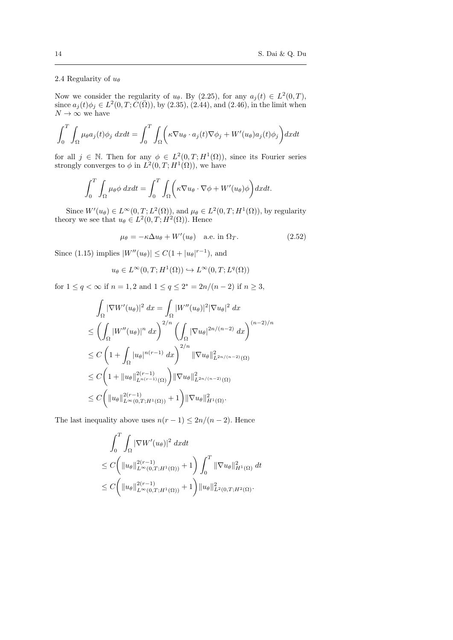## 2.4 Regularity of  $u_{\theta}$

Now we consider the regularity of  $u_{\theta}$ . By (2.25), for any  $a_j(t) \in L^2(0,T)$ , since  $a_j(t)\phi_j \in L^2(0,T;\breve{C}(\bar{\Omega}))$ , by (2.35), (2.44), and (2.46), in the limit when  $N \to \infty$  we have

$$
\int_0^T \int_{\Omega} \mu_{\theta} a_j(t) \phi_j \, dx dt = \int_0^T \int_{\Omega} \left( \kappa \nabla u_{\theta} \cdot a_j(t) \nabla \phi_j + W'(u_{\theta}) a_j(t) \phi_j \right) dx dt
$$

for all  $j \in \mathbb{N}$ . Then for any  $\phi \in L^2(0,T;H^1(\Omega))$ , since its Fourier series strongly converges to  $\phi$  in  $L^2(0,T;H^1(\Omega))$ , we have

$$
\int_0^T \int_{\Omega} \mu_{\theta} \phi \, dxdt = \int_0^T \int_{\Omega} \left( \kappa \nabla u_{\theta} \cdot \nabla \phi + W'(u_{\theta}) \phi \right) dxdt.
$$

Since  $W'(u_{\theta}) \in L^{\infty}(0,T; L^{2}(\Omega))$ , and  $\mu_{\theta} \in L^{2}(0,T; H^{1}(\Omega))$ , by regularity theory we see that  $u_{\theta} \in L^2(0,T;H^2(\Omega))$ . Hence

$$
\mu_{\theta} = -\kappa \Delta u_{\theta} + W'(u_{\theta}) \quad \text{a.e. in } \Omega_T. \tag{2.52}
$$

Since (1.15) implies  $|W''(u_{\theta})| \leq C(1+|u_{\theta}|^{r-1}),$  and

$$
u_{\theta} \in L^{\infty}(0,T; H^{1}(\Omega)) \hookrightarrow L^{\infty}(0,T; L^{q}(\Omega))
$$

for  $1 \le q < \infty$  if  $n = 1, 2$  and  $1 \le q \le 2^* = 2n/(n-2)$  if  $n \ge 3$ ,

$$
\int_{\Omega} |\nabla W'(u_{\theta})|^2 dx = \int_{\Omega} |W''(u_{\theta})|^2 |\nabla u_{\theta}|^2 dx
$$
  
\n
$$
\leq \left( \int_{\Omega} |W''(u_{\theta})|^n dx \right)^{2/n} \left( \int_{\Omega} |\nabla u_{\theta}|^{2n/(n-2)} dx \right)^{(n-2)/n}
$$
  
\n
$$
\leq C \left( 1 + \int_{\Omega} |u_{\theta}|^{n(r-1)} dx \right)^{2/n} ||\nabla u_{\theta}||_{L^{2n/(n-2)}(\Omega)}^2
$$
  
\n
$$
\leq C \left( 1 + ||u_{\theta}||_{L^{n(r-1)}(\Omega)}^{2(r-1)} \right) ||\nabla u_{\theta}||_{L^{2n/(n-2)}(\Omega)}^2
$$
  
\n
$$
\leq C \left( ||u_{\theta}||_{L^{\infty}(0,T;H^1(\Omega))}^{2(r-1)} + 1 \right) ||\nabla u_{\theta}||_{H^1(\Omega)}^2.
$$

The last inequality above uses  $n(r-1) \leq 2n/(n-2)$ . Hence

$$
\int_0^T \int_{\Omega} |\nabla W'(u_{\theta})|^2 dx dt
$$
  
\n
$$
\leq C \left( ||u_{\theta}||_{L^{\infty}(0,T;H^1(\Omega))}^{2(r-1)} + 1 \right) \int_0^T ||\nabla u_{\theta}||_{H^1(\Omega)}^2 dt
$$
  
\n
$$
\leq C \left( ||u_{\theta}||_{L^{\infty}(0,T;H^1(\Omega))}^{2(r-1)} + 1 \right) ||u_{\theta}||_{L^2(0,T;H^2(\Omega))}^2.
$$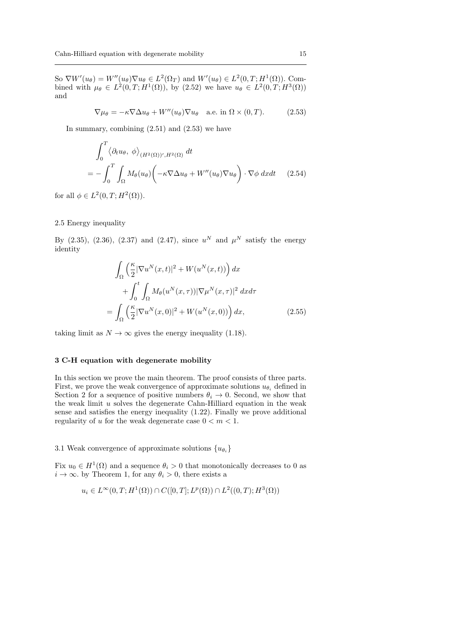So  $\nabla W'(u_\theta) = W''(u_\theta) \nabla u_\theta \in L^2(\Omega_T)$  and  $W'(u_\theta) \in L^2(0,T;H^1(\Omega))$ . Combined with  $\mu_{\theta} \in L^2(0,T;H^1(\Omega))$ , by (2.52) we have  $u_{\theta} \in L^2(0,T;H^3(\Omega))$ and

$$
\nabla \mu_{\theta} = -\kappa \nabla \Delta u_{\theta} + W''(u_{\theta}) \nabla u_{\theta} \quad \text{a.e. in } \Omega \times (0, T). \tag{2.53}
$$

In summary, combining  $(2.51)$  and  $(2.53)$  we have

$$
\int_0^T \langle \partial_t u_\theta, \phi \rangle_{(H^2(\Omega))', H^2(\Omega)} dt
$$
\n
$$
= - \int_0^T \int_\Omega M_\theta(u_\theta) \left( -\kappa \nabla \Delta u_\theta + W''(u_\theta) \nabla u_\theta \right) \cdot \nabla \phi \, dx dt \qquad (2.54)
$$

for all  $\phi \in L^2(0,T;H^2(\Omega)).$ 

### 2.5 Energy inequality

By (2.35), (2.36), (2.37) and (2.47), since  $u^N$  and  $\mu^N$  satisfy the energy identity

$$
\int_{\Omega} \left( \frac{\kappa}{2} |\nabla u^N(x,t)|^2 + W(u^N(x,t)) \right) dx
$$

$$
+ \int_0^t \int_{\Omega} M_\theta(u^N(x,\tau)) |\nabla \mu^N(x,\tau)|^2 dx d\tau
$$

$$
= \int_{\Omega} \left( \frac{\kappa}{2} |\nabla u^N(x,0)|^2 + W(u^N(x,0)) \right) dx,
$$
(2.55)

taking limit as  $N \to \infty$  gives the energy inequality (1.18).

#### 3 C-H equation with degenerate mobility

In this section we prove the main theorem. The proof consists of three parts. First, we prove the weak convergence of approximate solutions  $u_{\theta_i}$  defined in Section 2 for a sequence of positive numbers  $\theta_i \to 0$ . Second, we show that the weak limit  $u$  solves the degenerate Cahn-Hilliard equation in the weak sense and satisfies the energy inequality (1.22). Finally we prove additional regularity of u for the weak degenerate case  $0 < m < 1$ .

## 3.1 Weak convergence of approximate solutions  $\{u_{\theta_i}\}\$

Fix  $u_0 \in H^1(\Omega)$  and a sequence  $\theta_i > 0$  that monotonically decreases to 0 as  $i \to \infty$ . by Theorem 1, for any  $\theta_i > 0$ , there exists a

$$
u_i \in L^{\infty}(0,T; H^1(\Omega)) \cap C([0,T]; L^p(\Omega)) \cap L^2((0,T); H^3(\Omega))
$$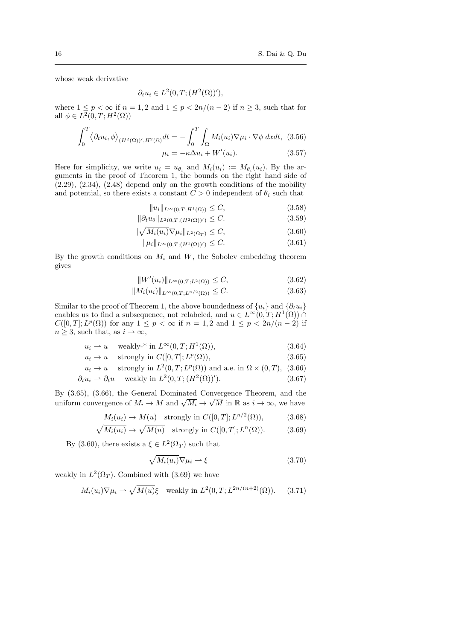$(3.65)$ 

whose weak derivative

$$
\partial_t u_i \in L^2(0, T; (H^2(\Omega))'),
$$

where  $1 \leq p < \infty$  if  $n = 1, 2$  and  $1 \leq p < 2n/(n-2)$  if  $n \geq 3$ , such that for all  $\phi \in L^2(0,T;H^2(\Omega))$ 

$$
\int_0^T \langle \partial_t u_i, \phi \rangle_{(H^2(\Omega))', H^2(\Omega)} dt = - \int_0^T \int_{\Omega} M_i(u_i) \nabla \mu_i \cdot \nabla \phi \, dx dt, \tag{3.56}
$$

$$
\mu_i = -\kappa \Delta u_i + W'(u_i). \tag{3.57}
$$

Here for simplicity, we write  $u_i = u_{\theta_i}$  and  $M_i(u_i) := M_{\theta_i}(u_i)$ . By the arguments in the proof of Theorem 1, the bounds on the right hand side of  $(2.29)$ ,  $(2.34)$ ,  $(2.48)$  depend only on the growth conditions of the mobility and potential, so there exists a constant  $C > 0$  independent of  $\theta_i$  such that

$$
||u_i||_{L^{\infty}(0,T;H^1(\Omega))} \le C,\t(3.58)
$$

$$
\|\partial_t u_\theta\|_{L^2(0,T;(H^2(\Omega))')} \leq C. \tag{3.59}
$$

$$
\|\sqrt{M_i(u_i)}\nabla\mu_i\|_{L^2(\Omega_T)} \le C,\tag{3.60}
$$

$$
\|\mu_i\|_{L^{\infty}(0,T;(H^1(\Omega))')} \leq C. \tag{3.61}
$$

By the growth conditions on  $M_i$  and  $W$ , the Sobolev embedding theorem gives

$$
||W'(u_i)||_{L^{\infty}(0,T;L^2(\Omega))} \le C,
$$
\n(3.62)

$$
||M_i(u_i)||_{L^{\infty}(0,T;L^{n/2}(\Omega))} \leq C.
$$
\n(3.63)

Similar to the proof of Theorem 1, the above boundedness of  $\{u_i\}$  and  $\{\partial_t u_i\}$ enables us to find a subsequence, not relabeled, and  $u \in L^{\infty}(0,T;H^1(\Omega))$  $C([0,T];L^p(\Omega))$  for any  $1 \leq p < \infty$  if  $n = 1,2$  and  $1 \leq p < 2n/(n-2)$  if  $n \geq 3$ , such that, as  $i \to \infty$ ,

$$
u_i \rightharpoonup u \quad \text{weakly-* in } L^{\infty}(0, T; H^1(\Omega)), \tag{3.64}
$$

$$
u_i \to u
$$
 strongly in  $C([0,T]; L^p(\Omega)),$ 

 $u_i \to u$  strongly in  $L^2(0,T; L^p(\Omega))$  and a.e. in  $\Omega \times (0,T)$ , (3.66)

$$
\partial_t u_i \rightharpoonup \partial_t u \quad \text{ weakly in } L^2(0, T; (H^2(\Omega))'). \tag{3.67}
$$

By  $(3.65)$ ,  $(3.66)$ , the General Dominated Convergence Theorem, and the by (5.05), (5.00), the General Dominated Convergence Theorem, and the uniform convergence of  $M_i \to M$  and  $\sqrt{M_i} \to \sqrt{M}$  in  $\mathbb{R}$  as  $i \to \infty$ , we have

$$
M_i(u_i) \to M(u) \quad \text{strongly in } C([0,T]; L^{n/2}(\Omega)), \tag{3.68}
$$

$$
\sqrt{M_i(u_i)} \to \sqrt{M(u)} \quad \text{strongly in } C([0, T]; L^n(\Omega)). \tag{3.69}
$$

By (3.60), there exists a  $\xi \in L^2(\Omega_T)$  such that

$$
\sqrt{M_i(u_i)}\nabla\mu_i \rightharpoonup \xi \tag{3.70}
$$

weakly in  $L^2(\Omega_T)$ . Combined with (3.69) we have

$$
M_i(u_i)\nabla \mu_i \rightharpoonup \sqrt{M(u)}\xi \quad \text{weakly in } L^2(0,T;L^{2n/(n+2)}(\Omega)).\tag{3.71}
$$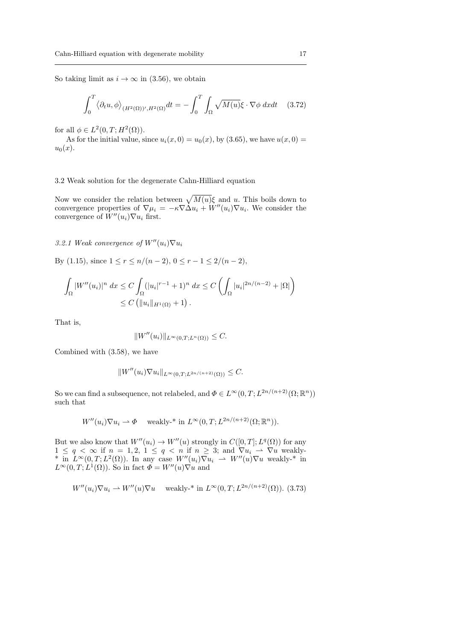So taking limit as  $i \to \infty$  in (3.56), we obtain

$$
\int_0^T \langle \partial_t u, \phi \rangle_{(H^2(\Omega))', H^2(\Omega)} dt = - \int_0^T \int_{\Omega} \sqrt{M(u)} \xi \cdot \nabla \phi \, dx dt \quad (3.72)
$$

for all  $\phi \in L^2(0,T;H^2(\Omega)).$ 

As for the initial value, since  $u_i(x, 0) = u_0(x)$ , by (3.65), we have  $u(x, 0) =$  $u_0(x)$ .

#### 3.2 Weak solution for the degenerate Cahn-Hilliard equation

Now we consider the relation between  $\sqrt{M(u)}\xi$  and u. This boils down to convergence properties of  $\nabla \mu_i = -\kappa \nabla \Delta u_i + W''(u_i) \nabla u_i$ . We consider the convergence of  $W''(u_i)\nabla u_i$  first.

3.2.1 Weak convergence of  $W''(u_i)\nabla u_i$ 

By (1.15), since  $1 \le r \le n/(n-2)$ ,  $0 \le r-1 \le 2/(n-2)$ ,

$$
\int_{\Omega} |W''(u_i)|^n dx \le C \int_{\Omega} (|u_i|^{r-1} + 1)^n dx \le C \left( \int_{\Omega} |u_i|^{2n/(n-2)} + |\Omega| \right)
$$
  

$$
\le C \left( \|u_i\|_{H^1(\Omega)} + 1 \right).
$$

That is,

$$
||W''(u_i)||_{L^{\infty}(0,T;L^n(\Omega))} \leq C.
$$

Combined with (3.58), we have

$$
||W''(u_i)\nabla u_i||_{L^{\infty}(0,T;L^{2n/(n+2)}(\Omega))} \leq C.
$$

So we can find a subsequence, not relabeled, and  $\Phi \in L^{\infty}(0,T; L^{2n/(n+2)}(\Omega;\mathbb{R}^n))$ such that

$$
W''(u_i)\nabla u_i \rightharpoonup \Phi \quad \text{ weakly-* in } L^{\infty}(0,T; L^{2n/(n+2)}(\Omega;\mathbb{R}^n)).
$$

But we also know that  $W''(u_i) \to W''(u)$  strongly in  $C([0,T]; L^q(\Omega))$  for any  $1 \leq q < \infty$  if  $n = 1, 2, 1 \leq q < n$  if  $n \geq 3$ ; and  $\nabla u_i \rightharpoonup \nabla u$  weakly-\* in  $L^{\infty}(0,T;L^2(\Omega))$ . In any case  $W''(u_i)\nabla u_i \rightharpoonup W''(u)\nabla u$  weakly-\* in  $L^{\infty}(0,T;L^{1}(\Omega))$ . So in fact  $\Phi = W''(u)\nabla u$  and

$$
W''(u_i)\nabla u_i \rightharpoonup W''(u)\nabla u
$$
 weakly-\* in  $L^{\infty}(0,T;L^{2n/(n+2)}(\Omega))$ . (3.73)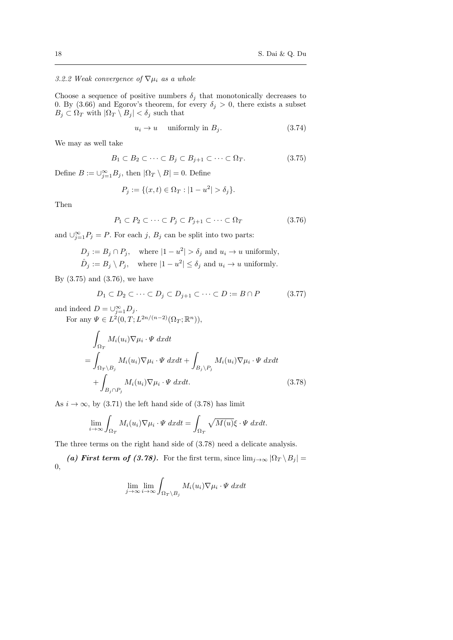3.2.2 Weak convergence of  $\nabla \mu_i$  as a whole

Choose a sequence of positive numbers  $\delta_j$  that monotonically decreases to 0. By (3.66) and Egorov's theorem, for every  $\delta_j > 0$ , there exists a subset  $B_j \subset \Omega_T$  with  $|\Omega_T \setminus B_j| < \delta_j$  such that

$$
u_i \to u \quad \text{uniformly in } B_j. \tag{3.74}
$$

We may as well take

$$
B_1 \subset B_2 \subset \cdots \subset B_j \subset B_{j+1} \subset \cdots \subset \Omega_T. \tag{3.75}
$$

Define  $B := \bigcup_{j=1}^{\infty} B_j$ , then  $|\Omega_T \setminus B| = 0$ . Define

$$
P_j := \{(x, t) \in \Omega_T : |1 - u^2| > \delta_j\}.
$$

Then

$$
P_1 \subset P_2 \subset \cdots \subset P_j \subset P_{j+1} \subset \cdots \subset \Omega_T \tag{3.76}
$$

and  $\bigcup_{j=1}^{\infty} P_j = P$ . For each j,  $B_j$  can be split into two parts:

$$
D_j := B_j \cap P_j, \quad \text{where } |1 - u^2| > \delta_j \text{ and } u_i \to u \text{ uniformly,}
$$
  

$$
\hat{D}_j := B_j \setminus P_j, \quad \text{where } |1 - u^2| \le \delta_j \text{ and } u_i \to u \text{ uniformly.}
$$

By  $(3.75)$  and  $(3.76)$ , we have

$$
D_1 \subset D_2 \subset \cdots \subset D_j \subset D_{j+1} \subset \cdots \subset D := B \cap P \tag{3.77}
$$

and indeed  $D = \bigcup_{j=1}^{\infty} D_j$ .

For any  $\Psi \in L^2(0,T;L^{2n/(n-2)}(\Omega_T;\mathbb{R}^n)),$ 

$$
\int_{\Omega_T} M_i(u_i) \nabla \mu_i \cdot \Psi \, dx dt
$$
\n
$$
= \int_{\Omega_T \backslash B_j} M_i(u_i) \nabla \mu_i \cdot \Psi \, dx dt + \int_{B_j \backslash P_j} M_i(u_i) \nabla \mu_i \cdot \Psi \, dx dt
$$
\n
$$
+ \int_{B_j \cap P_j} M_i(u_i) \nabla \mu_i \cdot \Psi \, dx dt. \tag{3.78}
$$

As  $i \to \infty$ , by (3.71) the left hand side of (3.78) has limit

$$
\lim_{i \to \infty} \int_{\Omega_T} M_i(u_i) \nabla \mu_i \cdot \Psi \, dx dt = \int_{\Omega_T} \sqrt{M(u)} \xi \cdot \Psi \, dx dt.
$$

The three terms on the right hand side of (3.78) need a delicate analysis.

(a) First term of (3.78). For the first term, since  $\lim_{j\to\infty} |\Omega_T \setminus B_j|$  = 0,

$$
\lim_{j \to \infty} \lim_{i \to \infty} \int_{\Omega_T \backslash B_j} M_i(u_i) \nabla \mu_i \cdot \Psi \, dxdt
$$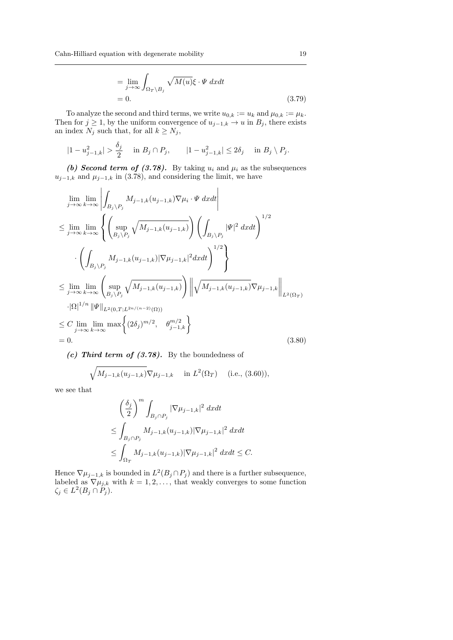$$
= \lim_{j \to \infty} \int_{\Omega_T \backslash B_j} \sqrt{M(u)} \xi \cdot \Psi \, dx dt
$$
  
= 0. (3.79)

To analyze the second and third terms, we write  $u_{0,k} := u_k$  and  $\mu_{0,k} := \mu_k$ . Then for  $j \geq 1$ , by the uniform convergence of  $u_{j-1,k} \to u$  in  $B_j$ , there exists an index  $N_j$  such that, for all  $k \geq N_j$ ,

$$
|1 - u_{j-1,k}^2| > \frac{\delta_j}{2} \quad \text{in } B_j \cap P_j, \qquad |1 - u_{j-1,k}^2| \le 2\delta_j \quad \text{in } B_j \setminus P_j.
$$

(b) Second term of (3.78). By taking  $u_i$  and  $\mu_i$  as the subsequences  $u_{j-1,k}$  and  $\mu_{j-1,k}$  in (3.78), and considering the limit, we have

$$
\lim_{j \to \infty} \lim_{k \to \infty} \left| \int_{B_j \setminus P_j} M_{j-1,k}(u_{j-1,k}) \nabla \mu_i \cdot \Psi \, dxdt \right|
$$
\n
$$
\leq \lim_{j \to \infty} \lim_{k \to \infty} \left\{ \left( \sup_{B_j \setminus P_j} \sqrt{M_{j-1,k}(u_{j-1,k})} \right) \left( \int_{B_j \setminus P_j} |\Psi|^2 \, dxdt \right)^{1/2} \right\}
$$
\n
$$
\cdot \left( \int_{B_j \setminus P_j} M_{j-1,k}(u_{j-1,k}) |\nabla \mu_{j-1,k}|^2 dxdt \right)^{1/2} \right\}
$$
\n
$$
\leq \lim_{j \to \infty} \lim_{k \to \infty} \left( \sup_{B_j \setminus P_j} \sqrt{M_{j-1,k}(u_{j-1,k})} \right) \left\| \sqrt{M_{j-1,k}(u_{j-1,k})} \nabla \mu_{j-1,k} \right\|_{L^2(\Omega_T)}
$$
\n
$$
\cdot |\Omega|^{1/n} \|\Psi\|_{L^2(0,T;L^{2n/(n-2)}(\Omega))}
$$
\n
$$
\leq C \lim_{j \to \infty} \lim_{k \to \infty} \max \left\{ (2\delta_j)^{m/2}, \quad \theta_{j-1,k}^{m/2} \right\}
$$
\n= 0. (3.80)

(c) Third term of  $(3.78)$ . By the boundedness of

$$
\sqrt{M_{j-1,k}(u_{j-1,k})}\nabla\mu_{j-1,k}
$$
 in  $L^2(\Omega_T)$  (i.e., (3.60)),

we see that

$$
\begin{aligned} &\left(\frac{\delta_j}{2}\right)^m\int_{B_j\cap P_j}|\nabla\mu_{j-1,k}|^2\ dxdt\\ &\leq \int_{B_j\cap P_j}M_{j-1,k}(u_{j-1,k})|\nabla\mu_{j-1,k}|^2\ dxdt\\ &\leq \int_{\Omega_T}M_{j-1,k}(u_{j-1,k})|\nabla\mu_{j-1,k}|^2\ dxdt\leq C. \end{aligned}
$$

Hence  $\nabla \mu_{j-1,k}$  is bounded in  $L^2(B_j \cap P_j)$  and there is a further subsequence, labeled as  $\nabla \mu_{j,k}$  with  $k = 1, 2, \ldots$ , that weakly converges to some function  $\zeta_j \in L^2(B_j \cap \check{P}_j).$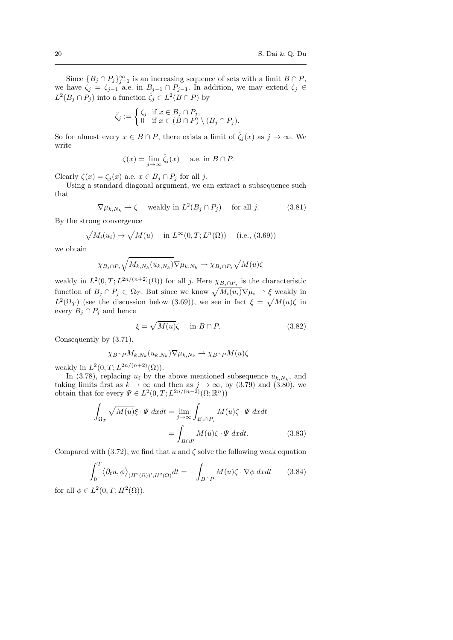Since  ${B_j \cap P_j}_{j=1}^{\infty}$  is an increasing sequence of sets with a limit  $B \cap P$ , we have  $\zeta_j = \zeta_{j-1}$  a.e. in  $B_{j-1} \cap P_{j-1}$ . In addition, we may extend  $\zeta_j \in$  $L^2(B_j \cap P_j)$  into a function  $\hat{\zeta}_j \in L^2(B \cap P)$  by

$$
\hat{\zeta}_j := \begin{cases} \zeta_j & \text{if } x \in B_j \cap P_j, \\ 0 & \text{if } x \in (B \cap P) \setminus (B_j \cap P_j). \end{cases}
$$

So for almost every  $x \in B \cap P$ , there exists a limit of  $\hat{\zeta}_i(x)$  as  $j \to \infty$ . We write

$$
\zeta(x) = \lim_{j \to \infty} \hat{\zeta}_j(x) \quad \text{ a.e. in } B \cap P.
$$

Clearly  $\zeta(x) = \zeta_i(x)$  a.e.  $x \in B_j \cap P_j$  for all j.

Using a standard diagonal argument, we can extract a subsequence such that

$$
\nabla \mu_{k,N_k} \rightharpoonup \zeta \quad \text{ weakly in } L^2(B_j \cap P_j) \quad \text{ for all } j. \tag{3.81}
$$

By the strong convergence

$$
\sqrt{M_i(u_i)} \to \sqrt{M(u)} \quad \text{in } L^{\infty}(0, T; L^n(\Omega)) \quad \text{(i.e., (3.69))}
$$

we obtain

$$
\chi_{B_j \cap P_j} \sqrt{M_{k, N_k}(u_{k, N_k})} \nabla \mu_{k, N_k} \rightharpoonup \chi_{B_j \cap P_j} \sqrt{M(u)} \zeta
$$

weakly in  $L^2(0,T;L^{2n/(n+2)}(\Omega))$  for all j. Here  $\chi_{B_j \cap P_j}$  is the characteristic function of  $B_j \cap P_j \subset \Omega_T$ . But since we know  $\sqrt{M_i(u_i)}\nabla \mu_i \rightharpoonup \xi$  weakly in  $L^2(\Omega_T)$  (see the discussion below (3.69)), we see in fact  $\xi = \sqrt{M(u)}\zeta$  in every  $B_j \cap P_j$  and hence

$$
\xi = \sqrt{M(u)}\zeta \quad \text{in } B \cap P. \tag{3.82}
$$

Consequently by (3.71),

$$
\chi_{B\cap P} M_{k,N_k}(u_{k,N_k}) \nabla \mu_{k,N_k} \rightharpoonup \chi_{B\cap P} M(u) \zeta
$$

weakly in  $L^2(0,T;L^{2n/(n+2)}(\Omega)).$ 

In (3.78), replacing  $u_i$  by the above mentioned subsequence  $u_{k,N_k}$ , and taking limits first as  $k \to \infty$  and then as  $j \to \infty$ , by (3.79) and (3.80), we obtain that for every  $\Psi \in L^2(0,T; L^{2n/(n-2)}(\Omega;\mathbb{R}^n))$ 

$$
\int_{\Omega_T} \sqrt{M(u)} \xi \cdot \Psi \, dxdt = \lim_{j \to \infty} \int_{B_j \cap P_j} M(u) \zeta \cdot \Psi \, dxdt
$$
\n
$$
= \int_{B \cap P} M(u) \zeta \cdot \Psi \, dxdt. \tag{3.83}
$$

Compared with (3.72), we find that u and  $\zeta$  solve the following weak equation

$$
\int_0^T \langle \partial_t u, \phi \rangle_{(H^2(\Omega))^{\prime}, H^2(\Omega)} dt = - \int_{B \cap P} M(u) \zeta \cdot \nabla \phi \, dx dt \qquad (3.84)
$$

for all  $\phi \in L^2(0,T;H^2(\Omega)).$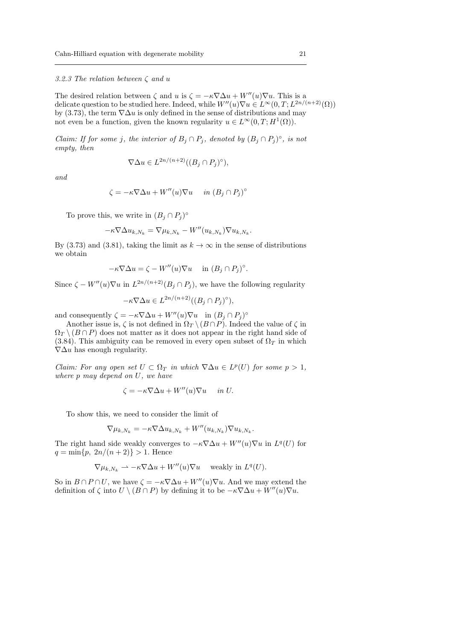#### 3.2.3 The relation between  $\zeta$  and u

The desired relation between  $\zeta$  and u is  $\zeta = -\kappa \nabla \Delta u + W''(u)\nabla u$ . This is a delicate question to be studied here. Indeed, while  $W''(u)\nabla u \in L^{\infty}(0,T;L^{2n/(n+2)}(\Omega))$ by (3.73), the term  $\nabla \Delta u$  is only defined in the sense of distributions and may not even be a function, given the known regularity  $u \in L^{\infty}(0,T; H^{1}(\Omega)).$ 

Claim: If for some j, the interior of  $B_j \cap P_j$ , denoted by  $(B_j \cap P_j)^\circ$ , is not empty, then

$$
\nabla \Delta u \in L^{2n/(n+2)}((B_j \cap P_j)^\circ),
$$

and

$$
\zeta = -\kappa \nabla \Delta u + W''(u)\nabla u \quad in \ (B_j \cap P_j)^\circ
$$

To prove this, we write in  $(B_j \cap P_j)^\circ$ 

$$
-\kappa \nabla \Delta u_{k,N_k} = \nabla \mu_{k,N_k} - W''(u_{k,N_k}) \nabla u_{k,N_k}.
$$

By (3.73) and (3.81), taking the limit as  $k \to \infty$  in the sense of distributions we obtain

$$
-\kappa \nabla \Delta u = \zeta - W''(u)\nabla u \quad \text{ in } (B_j \cap P_j)^\circ.
$$

Since  $\zeta - W''(u)\nabla u$  in  $L^{2n/(n+2)}(B_j \cap P_j)$ , we have the following regularity

$$
-\kappa \nabla \Delta u \in L^{2n/(n+2)}((B_j \cap P_j)^{\circ}),
$$

and consequently  $\zeta = -\kappa \nabla \Delta u + W''(u) \nabla u$  in  $(B_j \cap P_j)^\circ$ 

Another issue is,  $\zeta$  is not defined in  $\Omega_T \setminus (B \cap P)$ . Indeed the value of  $\zeta$  in  $\Omega_T \setminus (B \cap P)$  does not matter as it does not appear in the right hand side of (3.84). This ambiguity can be removed in every open subset of  $\Omega_T$  in which  $\nabla \Delta u$  has enough regularity.

*Claim:* For any open set  $U \subset \Omega_T$  in which  $\nabla \Delta u \in L^p(U)$  for some  $p > 1$ , where p may depend on U, we have

$$
\zeta = -\kappa \nabla \Delta u + W''(u)\nabla u \quad \text{ in } U.
$$

To show this, we need to consider the limit of

$$
\nabla \mu_{k,N_k} = -\kappa \nabla \Delta u_{k,N_k} + W''(u_{k,N_k}) \nabla u_{k,N_k}.
$$

The right hand side weakly converges to  $-\kappa \nabla \Delta u + W''(u)\nabla u$  in  $L^q(U)$  for  $q = \min\{p, 2n/(n+2)\} > 1.$  Hence

$$
\nabla \mu_{k,N_k} \rightharpoonup -\kappa \nabla \Delta u + W''(u) \nabla u \quad \text{ weakly in } L^q(U).
$$

So in  $B \cap P \cap U$ , we have  $\zeta = -\kappa \nabla \Delta u + W''(u) \nabla u$ . And we may extend the definition of  $\zeta$  into  $U \setminus (B \cap P)$  by defining it to be  $-\kappa \nabla \Delta u + W''(u)\nabla u$ .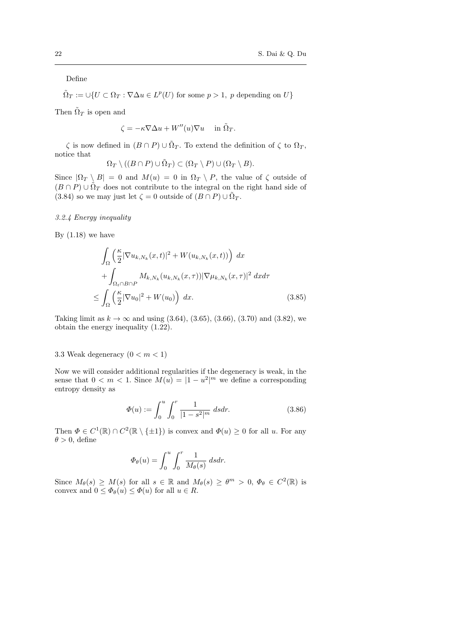Define

$$
\tilde{\Omega}_T := \cup \{ U \subset \Omega_T : \nabla \Delta u \in L^p(U) \text{ for some } p > 1, p \text{ depending on } U \}
$$

Then  $\tilde{\Omega}_T$  is open and

$$
\zeta = -\kappa \nabla \Delta u + W''(u)\nabla u \quad \text{ in } \tilde{\Omega}_T.
$$

 $\zeta$  is now defined in  $(B \cap P) \cup \tilde{\Omega}_T$ . To extend the definition of  $\zeta$  to  $\Omega_T$ , notice that

$$
\Omega_T \setminus ((B \cap P) \cup \tilde{\Omega}_T) \subset (\Omega_T \setminus P) \cup (\Omega_T \setminus B).
$$

Since  $|\Omega_T \setminus B| = 0$  and  $M(u) = 0$  in  $\Omega_T \setminus P$ , the value of  $\zeta$  outside of  $(B \cap P) \cup \tilde{\Omega}_T$  does not contribute to the integral on the right hand side of (3.84) so we may just let  $\zeta = 0$  outside of  $(B \cap P) \cup \tilde{\Omega}_T$ .

## 3.2.4 Energy inequality

By  $(1.18)$  we have

$$
\int_{\Omega} \left( \frac{\kappa}{2} |\nabla u_{k,N_k}(x,t)|^2 + W(u_{k,N_k}(x,t)) \right) dx
$$

$$
+ \int_{\Omega_t \cap B \cap P} M_{k,N_k}(u_{k,N_k}(x,\tau)) |\nabla \mu_{k,N_k}(x,\tau)|^2 dx d\tau
$$

$$
\leq \int_{\Omega} \left( \frac{\kappa}{2} |\nabla u_0|^2 + W(u_0) \right) dx.
$$
(3.85)

Taking limit as  $k \to \infty$  and using (3.64), (3.65), (3.66), (3.70) and (3.82), we obtain the energy inequality (1.22).

## 3.3 Weak degeneracy  $(0 < m < 1)$

Now we will consider additional regularities if the degeneracy is weak, in the sense that  $0 < m < 1$ . Since  $M(u) = |1 - u^2|^m$  we define a corresponding entropy density as

$$
\Phi(u) := \int_0^u \int_0^r \frac{1}{|1 - s^2|^m} ds dr.
$$
\n(3.86)

Then  $\Phi \in C^1(\mathbb{R}) \cap C^2(\mathbb{R} \setminus {\pm 1})$  is convex and  $\Phi(u) \geq 0$  for all u. For any  $\theta > 0$ , define

$$
\Phi_{\theta}(u) = \int_0^u \int_0^r \frac{1}{M_{\theta}(s)} ds dr.
$$

Since  $M_{\theta}(s) \geq M(s)$  for all  $s \in \mathbb{R}$  and  $M_{\theta}(s) \geq \theta^m > 0$ ,  $\Phi_{\theta} \in C^2(\mathbb{R})$  is convex and  $0 \leq \Phi_{\theta}(u) \leq \Phi(u)$  for all  $u \in R$ .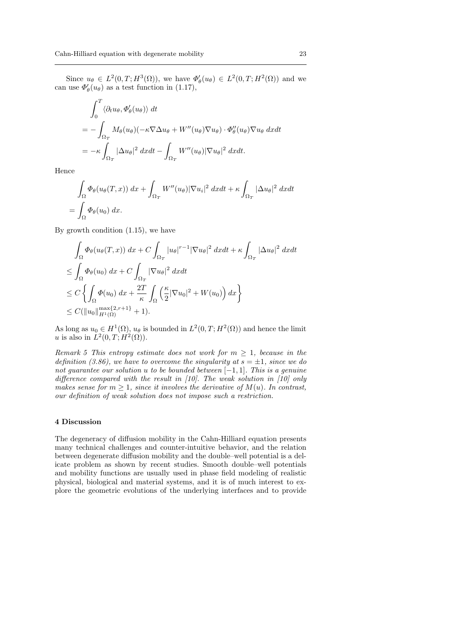Since  $u_{\theta} \in L^2(0,T;H^3(\Omega))$ , we have  $\Phi_{\theta}'(u_{\theta}) \in L^2(0,T;H^2(\Omega))$  and we can use  $\Phi_{\theta}'(u_{\theta})$  as a test function in (1.17),

$$
\int_0^T \langle \partial_t u_\theta, \Phi_\theta'(u_\theta) \rangle dt
$$
  
= 
$$
- \int_{\Omega_T} M_\theta(u_\theta) (-\kappa \nabla \Delta u_\theta + W''(u_\theta) \nabla u_\theta) \cdot \Phi_\theta''(u_\theta) \nabla u_\theta dx dt
$$
  
= 
$$
-\kappa \int_{\Omega_T} |\Delta u_\theta|^2 dx dt - \int_{\Omega_T} W''(u_\theta) |\nabla u_\theta|^2 dx dt.
$$

Hence

$$
\int_{\Omega} \Phi_{\theta}(u_{\theta}(T,x)) dx + \int_{\Omega_T} W''(u_{\theta}) |\nabla u_i|^2 dx dt + \kappa \int_{\Omega_T} |\Delta u_{\theta}|^2 dx dt
$$
  
= 
$$
\int_{\Omega} \Phi_{\theta}(u_0) dx.
$$

By growth condition (1.15), we have

$$
\int_{\Omega} \Phi_{\theta}(u_{\theta}(T,x)) dx + C \int_{\Omega_T} |u_{\theta}|^{r-1} |\nabla u_{\theta}|^2 dxdt + \kappa \int_{\Omega_T} |\Delta u_{\theta}|^2 dxdt
$$
  
\n
$$
\leq \int_{\Omega} \Phi_{\theta}(u_0) dx + C \int_{\Omega_T} |\nabla u_{\theta}|^2 dxdt
$$
  
\n
$$
\leq C \left\{ \int_{\Omega} \Phi(u_0) dx + \frac{2T}{\kappa} \int_{\Omega} \left( \frac{\kappa}{2} |\nabla u_0|^2 + W(u_0) \right) dx \right\}
$$
  
\n
$$
\leq C (\|u_0\|_{H^1(\Omega)}^{\max\{2, r+1\}} + 1).
$$

As long as  $u_0 \in H^1(\Omega)$ ,  $u_\theta$  is bounded in  $L^2(0,T;H^2(\Omega))$  and hence the limit u is also in  $L^2(0,T;H^2(\Omega))$ .

Remark 5 This entropy estimate does not work for  $m \geq 1$ , because in the definition (3.86), we have to overcome the singularity at  $s = \pm 1$ , since we do not guarantee our solution u to be bounded between [−1, 1]. This is a genuine difference compared with the result in  $[10]$ . The weak solution in  $[10]$  only makes sense for  $m \geq 1$ , since it involves the derivative of  $M(u)$ . In contrast, our definition of weak solution does not impose such a restriction.

#### 4 Discussion

The degeneracy of diffusion mobility in the Cahn-Hilliard equation presents many technical challenges and counter-intuitive behavior, and the relation between degenerate diffusion mobility and the double–well potential is a delicate problem as shown by recent studies. Smooth double–well potentials and mobility functions are usually used in phase field modeling of realistic physical, biological and material systems, and it is of much interest to explore the geometric evolutions of the underlying interfaces and to provide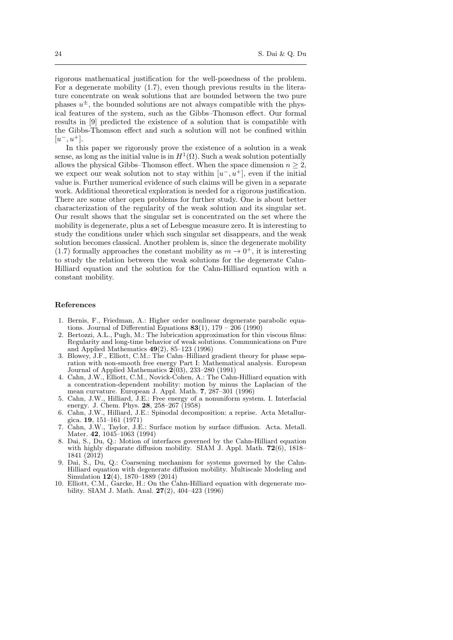rigorous mathematical justification for the well-posedness of the problem. For a degenerate mobility (1.7), even though previous results in the literature concentrate on weak solutions that are bounded between the two pure phases  $u^{\pm}$ , the bounded solutions are not always compatible with the physical features of the system, such as the Gibbs–Thomson effect. Our formal results in [9] predicted the existence of a solution that is compatible with the Gibbs-Thomson effect and such a solution will not be confined within  $[u^-, u^+]$ .

In this paper we rigorously prove the existence of a solution in a weak sense, as long as the initial value is in  $H^1(\Omega)$ . Such a weak solution potentially allows the physical Gibbs–Thomson effect. When the space dimension  $n \geq 2$ , we expect our weak solution not to stay within  $[u^-, u^+]$ , even if the initial value is. Further numerical evidence of such claims will be given in a separate work. Additional theoretical exploration is needed for a rigorous justification. There are some other open problems for further study. One is about better characterization of the regularity of the weak solution and its singular set. Our result shows that the singular set is concentrated on the set where the mobility is degenerate, plus a set of Lebesgue measure zero. It is interesting to study the conditions under which such singular set disappears, and the weak solution becomes classical. Another problem is, since the degenerate mobility (1.7) formally approaches the constant mobility as  $m \to 0^+$ , it is interesting to study the relation between the weak solutions for the degenerate Cahn-Hilliard equation and the solution for the Cahn-Hilliard equation with a constant mobility.

### References

- 1. Bernis, F., Friedman, A.: Higher order nonlinear degenerate parabolic equations. Journal of Differential Equations  $83(1)$ ,  $179 - 206$  (1990)
- Bertozzi, A.L., Pugh, M.: The lubrication approximation for thin viscous films: Regularity and long-time behavior of weak solutions. Communications on Pure and Applied Mathematics 49(2), 85–123 (1996)
- 3. Blowey, J.F., Elliott, C.M.: The Cahn–Hilliard gradient theory for phase separation with non-smooth free energy Part I: Mathematical analysis. European Journal of Applied Mathematics  $\widetilde{2}(03)$ , 233–280 (1991)
- 4. Cahn, J.W., Elliott, C.M., Novick-Cohen, A.: The Cahn-Hilliard equation with a concentration-dependent mobility: motion by minus the Laplacian of the mean curvature. European J. Appl. Math. 7, 287–301 (1996)
- 5. Cahn, J.W., Hilliard, J.E.: Free energy of a nonuniform system. I. Interfacial energy. J. Chem. Phys. 28, 258–267 (1958)
- 6. Cahn, J.W., Hilliard, J.E.: Spinodal decomposition: a reprise. Acta Metallurgica. 19, 151–161 (1971)
- 7. Cahn, J.W., Taylor, J.E.: Surface motion by surface diffusion. Acta. Metall. Mater. 42, 1045–1063 (1994)
- 8. Dai, S., Du, Q.: Motion of interfaces governed by the Cahn-Hilliard equation with highly disparate diffusion mobility. SIAM J. Appl. Math. 72(6), 1818– 1841 (2012)
- 9. Dai, S., Du, Q.: Coarsening mechanism for systems governed by the Cahn-Hilliard equation with degenerate diffusion mobility. Multiscale Modeling and Simulation 12(4), 1870–1889 (2014)
- 10. Elliott, C.M., Garcke, H.: On the Cahn-Hilliard equation with degenerate mobility. SIAM J. Math. Anal. 27(2), 404–423 (1996)